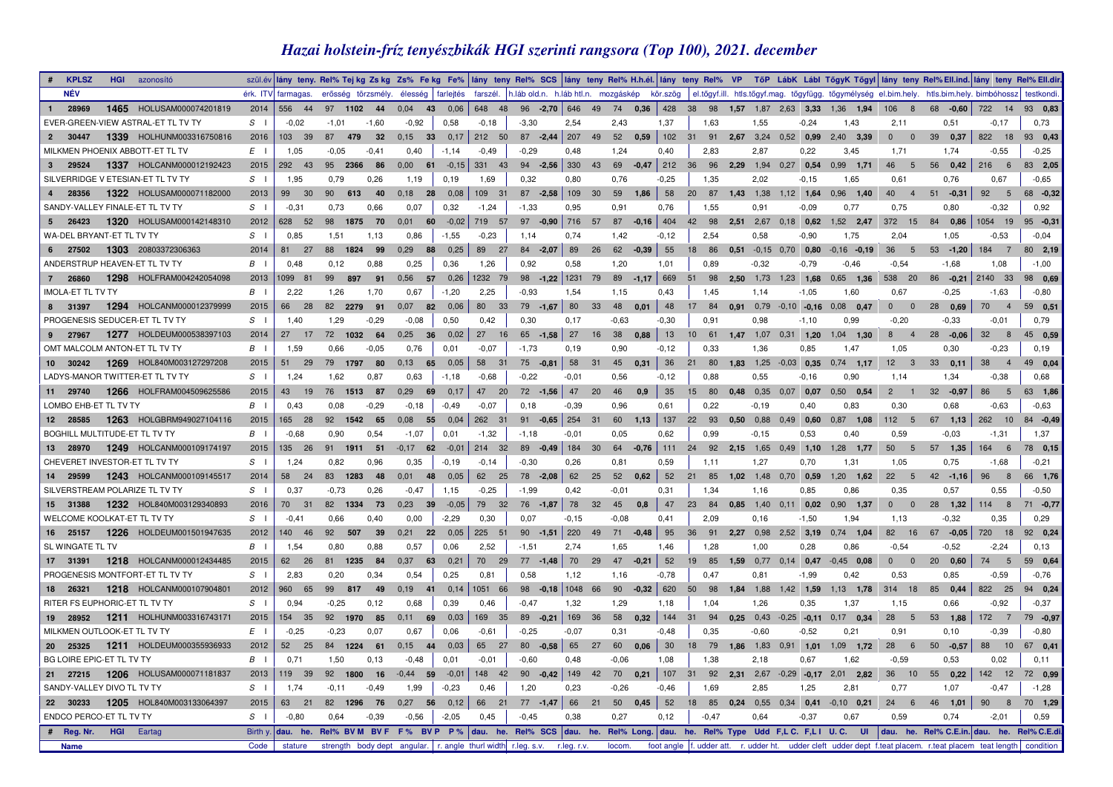## *Hazai holstein-fríz tenyészbikák HGI szerinti rangsora (Top 100), 2021. december*

| <b>KPLSZ</b>                    | <b>HGI</b> | azonosító                          |          |                       |            |                    |                                                                |           |                |         |                     |             |       |                                     |      |             |                                        |                            |           |         |                                                                                   |                                  |                  |                                  | szülév itány teny. Rel% Tejkg Zskg Zs% Fekg Fe% itány teny Rel% SCS itány teny Rel% H.h.él. tány teny Rel% VP TőP LábK Lábi TőgyK Tőgyi itány teny Rel%Ell.ind. itány teny Rel%Ell.ind. itány teny Rel%Ell.ind. |
|---------------------------------|------------|------------------------------------|----------|-----------------------|------------|--------------------|----------------------------------------------------------------|-----------|----------------|---------|---------------------|-------------|-------|-------------------------------------|------|-------------|----------------------------------------|----------------------------|-----------|---------|-----------------------------------------------------------------------------------|----------------------------------|------------------|----------------------------------|-----------------------------------------------------------------------------------------------------------------------------------------------------------------------------------------------------------------|
| <b>NÉV</b>                      |            |                                    |          | érk. ITV farmagas.    |            | erősség törzsmély. | élesséa                                                        | farleités | farszél.       |         |                     |             |       | h.láb old.n. h.láb htl.n. mozgáskép |      | kör.szög    |                                        |                            |           |         |                                                                                   |                                  |                  |                                  | el.tőgyf.ill. htls.tőgyf.mag. tőgyfügg. tőgymélység el.bim.hely. htls.bim.hely. bimbóhossz testkondi.                                                                                                           |
| 28969<br>1                      |            | 1465 HOLUSAM000074201819           | 2014     | 556 44                | 97 1102 44 |                    | 0.04                                                           | 43 0,06   | 648 48         |         |                     |             |       |                                     |      |             |                                        |                            |           |         | 96 -2,70 646 49 74 0,36 428 38 98 1,57 1,87 2,63 3,33 1,36 1,94                   | 106<br>8 <sup>8</sup>            | 68 - 0,60        | 722 14                           | 93 0,83                                                                                                                                                                                                         |
|                                 |            | EVER-GREEN-VIEW ASTRAL-ET TL TV TY | $S \cup$ | $-0.02$               | $-1,01$    | $-1,60$            | $-0.92$                                                        | 0.58      | $-0,18$        | $-3,30$ |                     | 2,54        |       | 2,43                                |      | 1,37        | 1,63                                   | 1,55                       |           | $-0,24$ | 1,43                                                                              | 2,11                             | 0,51             | $-0,17$                          | 0.73                                                                                                                                                                                                            |
| 30447<br>$2^{\circ}$            |            | 1339 HOLHUNM003316750816           | 2016     | 103 39                | 87<br>479  | 32                 | 0,15<br>33                                                     | 0,17      | 212 50         |         | $87 -2,44$ 207 49   |             |       | 52 0,59                             |      | 102 31      | 91                                     | 2,67 3,24 0,52 0,99        |           |         | 2,40 3,39                                                                         | $\overline{0}$<br>$\overline{0}$ | 39 0.37          | 822 18                           | 93 0,43                                                                                                                                                                                                         |
|                                 |            | MILKMEN PHOENIX ABBOTT-ET TL TV    | $E \cup$ | 1,05                  | $-0.05$    | $-0,41$            | 0,40                                                           | $-1,14$   | $-0,49$        | $-0,29$ |                     | 0,48        |       | 1,24                                |      | 0,40        | 2,83                                   | 2,87                       |           | 0,22    | 3,45                                                                              | 1,71                             | 1,74             | $-0.55$                          | $-0,25$                                                                                                                                                                                                         |
| 3 29524                         |            | 1337 HOLCANM000012192423           | 2015     | 292 43                | 95 2366    | 86                 | 0,00<br>61                                                     |           | $-0.15$ 331 43 |         | $94 - 2.56$ 330 43  |             |       |                                     |      |             | 69 -0.47 212 36 96 2.29 1.94 0.27 0.54 |                            |           |         | $0.99$ 1,71                                                                       | 46<br>$5^{\circ}$                | 56 0.42          | $216$ 6                          | 83 2.05                                                                                                                                                                                                         |
|                                 |            | SILVERRIDGE V ETESIAN-ET TL TV TY  | $S \cup$ | 1.95                  | 0,79       | 0,26               | 1,19                                                           | 0,19      | 1,69           | 0,32    |                     | 0.80        |       | 0,76                                |      | $-0,25$     | 1,35                                   | 2,02                       |           | $-0,15$ | 1,65                                                                              | 0.61                             | 0,76             | 0,67                             | $-0.65$                                                                                                                                                                                                         |
| 28356                           |            | 1322 HOLUSAM000071182000           | 2013     | 30<br>99              | 90<br>613  | 40                 | $0,18$ 28                                                      | 0,08      | 109 31         |         | $87 - 2,58$ 109 30  |             |       | 59                                  | 1.86 | 58          | 20 87 1,43 1,38 1,12 1,64              |                            |           |         | $0,96$ 1,40                                                                       |                                  | 40  4  51  -0.31 | 92 5                             | 68 -0,32                                                                                                                                                                                                        |
| SANDY-VALLEY FINALE-ET TL TV TY |            |                                    | $S \cup$ | $-0.31$               | 0,73       | 0,66               | 0,07                                                           | 0,32      | $-1,24$        | $-1,33$ |                     | 0,95        |       | 0,91                                |      | 0,76        | 1,55                                   | 0.91                       |           | $-0.09$ | 0,77                                                                              | 0,75                             | 0,80             | $-0.32$                          | 0,92                                                                                                                                                                                                            |
| 26423<br>5 <sub>5</sub>         |            | 1320 HOLUSAM000142148310           | 2012     | 628 52                | 98<br>1875 | 70                 | 0,01<br>60                                                     |           | $-0.02$ 719 57 |         | 97 $-0.90$ 716 57   |             |       | $87 -0.16$ 404                      |      |             | 42 98 2.51 2.67 0.18 0.62              |                            |           |         | $1,52$ 2.47                                                                       | 372 15                           | 84 0.86          | 1054 19                          | $95 -0,31$                                                                                                                                                                                                      |
| WA-DEL BRYANT-ET TL TV TY       |            |                                    | $S \cup$ | 0,85                  | 1,51       | 1.13               | 0.86                                                           | $-1,55$   | $-0,23$        | 1.14    |                     | 0.74        |       | 1,42                                |      | $-0,12$     | 2.54                                   | 0,58                       |           | $-0.90$ | 1.75                                                                              | 2.04                             | 1.05             | $-0.53$                          | $-0.04$                                                                                                                                                                                                         |
| 27502<br>$6\overline{6}$        |            | 1303 20803372306363                | 2014     | 81 27                 | 88<br>1824 | 99                 | 0,29<br>88                                                     | 0,25      | 89 27          |         | $84 - 2,07$         | 89          | 26    | $62 -0,39$                          |      | 55          | 18 86                                  | $0.51 -0.15$ 0.70 0.80     |           |         | $-0,16$ $-0,19$                                                                   | 36<br>$-5$                       | $53 - 1,20$      | 184 7                            | 80 2,19                                                                                                                                                                                                         |
| ANDERSTRUP HEAVEN-ET TL TV TY   |            |                                    | $B \cup$ | 0,48                  | 0,12       | 0,88               | 0,25                                                           | 0,36      | 1,26           | 0.92    |                     | 0,58        |       | 1,20                                |      | 1,01        | 0,89                                   | $-0.32$                    |           | $-0,79$ | $-0.46$                                                                           | $-0,54$                          | $-1,68$          | 1,08                             | $-1,00$                                                                                                                                                                                                         |
| $7^{\circ}$<br>26860            |            | 1298 HOLFRAM004242054098           | 2013     | 1099 81               | 99<br>897  | 91                 | 0,56<br>57                                                     | 0,26      | 1232 79        |         | $98 - 1,22$ 1231 79 |             |       | $89$ -1,17 669 51                   |      |             |                                        | 98 2,50 1,73 1,23 1,68     |           |         | $0.65$ 1.36                                                                       | 538 20                           | $86 - 0,21$      | 2140 33                          | 98 0,69                                                                                                                                                                                                         |
| <b>IMOLA-ET TL TV TY</b>        |            |                                    | $B \cup$ | 2.22                  | 1,26       | 1.70               | 0.67                                                           | $-1,20$   | 2,25           | $-0.93$ |                     | 1,54        |       | 1,15                                |      | 0.43        | 1.45                                   | 1,14                       |           | $-1,05$ | 1.60                                                                              | 0.67                             | $-0.25$          | $-1,63$                          | $-0.80$                                                                                                                                                                                                         |
| 8 31397                         |            | 1294 HOLCANM000012379999           | 2015     | 66<br>28              | 82<br>2279 | 91                 | 0,07                                                           | 82 0,06   | 80<br>33       |         | $79 - 1,67$         | 80          | 33    | 48                                  | 0,01 | 48          | 17 84                                  |                            |           |         | $0.91$ $0.79$ $-0.10$ $-0.16$ $0.08$ $0.47$                                       | $0\qquad 0$                      | 28 0.69          | 70<br>$\overline{4}$             | 59 0,51                                                                                                                                                                                                         |
| PROGENESIS SEDUCER-ET TL TV TY  |            |                                    | $S \cup$ | 1.40                  | 1.29       | $-0.29$            | $-0,08$                                                        | 0,50      | 0.42           | 0,30    |                     | 0.17        |       | $-0,63$                             |      | $-0,30$     | 0.91                                   | 0.98                       |           | $-1.10$ | 0.99                                                                              | $-0.20$                          | $-0,33$          | $-0.01$                          | 0.79                                                                                                                                                                                                            |
| 9 27967                         |            | 1277 HOLDEUM000538397103           | 2014     | 27<br>17              | 72         | 1032<br>64         | $0.25$ 36                                                      | 0,02      | 27<br>16       |         | $65 - 1,58$         | 27          | 16 38 |                                     | 0,88 | 13          | 10 61 1,47 1,07 0,31 1,20              |                            |           |         | $1,04$ 1,30                                                                       | $8 \t 4$                         | $28 - 0.06$      | 32 8                             | 45 0,59                                                                                                                                                                                                         |
| OMT MALCOLM ANTON-ET TL TV TY   |            |                                    | $B \cup$ | 1,59                  | 0,66       | $-0.05$            | 0,76                                                           | 0,01      | $-0.07$        | $-1,73$ |                     | 0,19        |       | 0,90                                |      | $-0, 12$    | 0.33                                   | 1,36                       |           | 0,85    | 1,47                                                                              | 1,05                             | 0,30             | $-0.23$                          | 0,19                                                                                                                                                                                                            |
| 10 30242                        |            | 1269 HOL840M003127297208           | 2015     | 51<br>29              | 79<br>1797 | 80                 | 0,13<br>65                                                     | 0,05      | 58<br>31       |         | $75 -0,81$          | 58          | 31    | 45                                  | 0,31 | 36          | 21<br>80                               | $1,83$ $1,25$ $-0,03$ 0,35 |           |         | $0,74$ 1,17                                                                       | 12<br>$\overline{\mathbf{3}}$    | 33<br>0,11       | 38<br>$\overline{4}$             | 49 0,04                                                                                                                                                                                                         |
|                                 |            | LADYS-MANOR TWITTER-ET TL TV TY    | $S \cup$ | 1.24                  | 1.62       | 0.87               | 0.63                                                           | $-1,18$   | $-0.68$        | $-0.22$ |                     | $-0.01$     |       | 0.56                                |      | $-0.12$     | 0.88                                   | 0.55                       |           | $-0.16$ | 0.90                                                                              | 1.14                             | 1.34             | $-0,38$                          | 0.68                                                                                                                                                                                                            |
| 11 29740                        |            | 1266 HOLFRAM004509625586           | 2015     | 43<br>19              |            | 76 1513 87         | 0,29<br>69                                                     | 0,17      | 47 20          |         | $72 - 1.56$         | 47          | 20    | 46                                  | 0.9  | 35          | 80<br>15                               | $0.48$ 0.35 0.07 0.07      |           |         | $0.50$ 0.54                                                                       | $2^{\circ}$<br>$\overline{1}$    | $32 -0.97$       | 86<br>$5\overline{5}$            | 63 1,86                                                                                                                                                                                                         |
| LOMBO EHB-ET TL TV TY           |            |                                    | $B \cup$ | 0.43                  | 0,08       | $-0,29$            | $-0,18$                                                        | $-0,49$   | $-0,07$        | 0,18    |                     | $-0.39$     |       | 0.96                                |      | 0.61        | 0,22                                   | $-0,19$                    |           | 0,40    | 0.83                                                                              | 0,30                             | 0,68             | $-0.63$                          | $-0.63$                                                                                                                                                                                                         |
| 12 28585                        |            | 1263 HOLGBRM949027104116           | 2015     | 165 28                | 92 1542    |                    | 0,08<br>55                                                     | 0,04      | 262 31         |         | 91 $-0.65$ 254 31   |             |       | $60$ 1,13                           |      | $\vert$ 137 | 22 93 0.50 0.88 0.49 0.60              |                            |           |         | $0.87$ 1,08                                                                       | 112 <sub>5</sub>                 | $67$ 1,13        | 262 10                           | 84 - 0,49                                                                                                                                                                                                       |
| BOGHILL MULTITUDE-ET TL TV TY   |            |                                    | $B \cup$ | $-0.68$               | 0.90       | 65<br>0.54         | $-1.07$                                                        | 0.01      |                | $-1.18$ |                     | $-0.01$     |       | 0.05                                |      | 0.62        | 0.99                                   | $-0.15$                    |           | 0.53    | 0.40                                                                              | 0.59                             | $-0.03$          |                                  | 1.37                                                                                                                                                                                                            |
|                                 |            |                                    |          |                       |            |                    |                                                                |           | $-1,32$        |         |                     |             |       |                                     |      |             |                                        |                            |           |         |                                                                                   |                                  |                  | $-1,31$                          |                                                                                                                                                                                                                 |
| 13 28970                        |            | 1249 HOLCANM000109174197           | 2015     | 135 26                | 91 1911 51 |                    | $-0.17$ 62 $-0.01$ 214 32                                      |           |                |         | $89 -0.49$ 184 30   |             |       |                                     |      |             |                                        |                            |           |         | 64 -0.76 111 24 92 2.15 1.65 0.49 1.10 1.28 1.77                                  | 50<br>$5^{\circ}$                | 57 1.35          | 164 6                            | 78 0,15                                                                                                                                                                                                         |
| CHEVERET INVESTOR-ET TL TV TY   |            |                                    | $S \cup$ | 1,24                  | 0,82       | 0,96               | 0.35                                                           | $-0,19$   | $-0,14$        | $-0,30$ |                     | 0,26        |       | 0,81                                |      | 0,59        | 1,11                                   | 1,27                       |           | 0,70    | 1,31                                                                              | 1,05                             | 0,75             | $-1,68$                          | $-0.21$                                                                                                                                                                                                         |
| 14 29599                        |            | 1243 HOLCANM000109145517           | 2014     | 58<br>24              |            | 83 1283 48         | $0,01$ 48                                                      | 0,05      | 62 25          |         | $78 - 2,08$         |             |       | 62 25 52 $0,62$                     |      | 52          | 21 85 1,02 1,48 0,70 0,59              |                            |           |         | $1,20$ 1,62                                                                       | 22<br>$5^{\circ}$                | $42 - 1,16$      | 96<br>$\overline{\phantom{0}}$ 8 | 66 1,76                                                                                                                                                                                                         |
| SILVERSTREAM POLARIZE TL TV TY  |            |                                    | $S \cup$ | 0.37                  | $-0,73$    | 0.26               | $-0,47$                                                        | 1,15      | $-0,25$        | $-1,99$ |                     | 0.42        |       | $-0.01$                             |      | 0,31        | 1.34                                   | 1,16                       |           | 0.85    | 0.86                                                                              | 0.35                             | 0,57             | 0.55                             | $-0,50$                                                                                                                                                                                                         |
| 15 31388                        |            | 1232 HOL840M003129340893           | 2016     | 70 31                 |            | 82 1334 73         | 0,23<br>39                                                     | $-0,05$   | 79 32          |         | $76 - 1.87$         | 78 32       |       | 45                                  | 0.8  | 47          | 23 84                                  |                            |           |         | 0.85 1.40 0.11 0.02 0.90 1.37                                                     | $0\qquad 0$                      | 28 1.32          | 114 8                            | $71 - 0,77$                                                                                                                                                                                                     |
| WELCOME KOOLKAT-ET TL TV TY     |            |                                    | $S \cup$ | $-0.41$               | 0,66       | 0.40               | 0,00                                                           | $-2,29$   | 0,30           | 0.07    |                     | $-0, 15$    |       | $-0.08$                             |      | 0,41        | 2,09                                   | 0,16                       |           | $-1,50$ | 1.94                                                                              | 1,13                             | $-0,32$          | 0.35                             | 0,29                                                                                                                                                                                                            |
| 16 25157                        |            | 1226 HOLDEUM001501947635           | 2012     | 140 46                | 92<br>507  | 39                 | 0,21<br>22                                                     | 0,05      | 225 51         |         | $90 - 1,51$ 220     |             | 49    | $71 -0.48$                          |      | 95          | 36<br>91                               | 2,27 0,98 2,52 3,19        |           |         | $0.74$ 1,04                                                                       | 82 16                            | $67 -0.05$       | 720 18                           | 92 0,24                                                                                                                                                                                                         |
| SL WINGATE TL TV                |            |                                    | $B \cup$ | 1,54                  | 0,80       | 0.88               | 0.57                                                           | 0.06      | 2.52           | $-1,51$ |                     | 2.74        |       | 1,65                                |      | 1.46        | 1,28                                   | 1,00                       |           | 0,28    | 0.86                                                                              | $-0.54$                          | $-0.52$          | $-2,24$                          | 0,13                                                                                                                                                                                                            |
| 17 31391                        |            | 1218 HOLCANM000012434485           | 2015     | 62 26                 | 81 1235    | 84                 | 0,37<br>63                                                     | 0,21      | 70 29          |         | $77 - 1,48$         | 70 29       |       | $47 -0,21$                          |      | 52          |                                        |                            |           |         | 19 85 1,59 0,77 0,14 0,47 -0,45 0,08                                              | $0\qquad 0$                      | $20 \quad 0,60$  | 74 5                             | 59 0,64                                                                                                                                                                                                         |
|                                 |            | PROGENESIS MONTFORT-ET TL TV TY    | $S \cup$ | 2,83                  | 0,20       | 0.34               | 0,54                                                           | 0,25      | 0,81           | 0.58    |                     | 1,12        |       | 1,16                                |      | $-0,78$     | 0,47                                   | 0,81                       |           | $-1,99$ | 0,42                                                                              | 0,53                             | 0,85             | $-0.59$                          | $-0,76$                                                                                                                                                                                                         |
| 18 26321                        |            | 1218 HOLCANM000107904801           | 2012     | 960<br>65             | 99         | 817<br>49          | 0.19<br>$-41$                                                  |           | $0,14$ 1051 66 |         | 98 - 0.18 1048 66   |             |       | 90                                  |      |             | $-0,32$ 620 50 98                      | 1.84 1.88                  | 1.42 1,59 |         | $1.13$ 1.78                                                                       | 314 18                           | 0.44<br>85       | 822 25                           | 94 0,24                                                                                                                                                                                                         |
| RITER FS EUPHORIC-ET TL TV TY   |            |                                    | $S \cup$ | 0.94                  | $-0.25$    | 0,12               | 0.68                                                           | 0.39      | 0,46           | $-0.47$ |                     | 1,32        |       | 1,29                                |      | 1,18        | 1.04                                   | 1,26                       |           | 0,35    | 1,37                                                                              | 1.15                             | 0,66             | $-0.92$                          | $-0.37$                                                                                                                                                                                                         |
| 19 28952                        |            | 1211 HOLHUNM003316743171           | 2015     | 154 35                | 92<br>1970 | 85                 | $0,11$ 69                                                      | 0,03      | 169 35         |         | $89 -0.21$ 169 36   |             |       | 58                                  | 0,32 | $144$ 31    | 94                                     |                            |           |         | $0,25$ 0,43 -0,25 -0,11 0,17 0,34                                                 | 28<br>5                          | 53 1,88          | 172 7                            | 79 -0,97                                                                                                                                                                                                        |
| MILKMEN OUTLOOK-ET TL TV TY     |            |                                    | $E \cup$ | $-0.25$               | $-0,23$    | 0,07               | 0.67                                                           | 0.06      | $-0,61$        | $-0,25$ |                     | $-0.07$     |       | 0,31                                |      | $-0,48$     | 0,35                                   | $-0,60$                    |           | $-0,52$ | 0,21                                                                              | 0,91                             | 0,10             | $-0.39$                          | $-0.80$                                                                                                                                                                                                         |
| 20 25325                        |            | 1211 HOLDEUM000355936933           | 2012     | 52 <sub>2</sub><br>25 | 84         | 1224<br>61         | 0,15<br>44                                                     | 0,03      | 65<br>27       |         | $80 - 0.58$         | 65          | 27    | 60                                  | 0.06 | 30          | 18<br>79                               | 1.86 1.83 0.91             |           | 1.01    | $1,09$ 1.72                                                                       | 28<br>6                          | $50 - 0.57$      | 88<br>10                         | 67 0,41                                                                                                                                                                                                         |
| BG LOIRE EPIC-ET TL TV TY       |            |                                    | $B \cup$ | 0.71                  | 1,50       | 0.13               | $-0,48$                                                        | 0,01      | $-0.01$        | $-0.60$ |                     | 0.48        |       | $-0.06$                             |      | 1.08        | 1.38                                   | 2.18                       |           | 0.67    | 1.62                                                                              | $-0.59$                          | 0.53             | 0.02                             | 0.11                                                                                                                                                                                                            |
| 27215<br>21                     |            | 1206 HOLUSAM000071181837           | 2013     | 119<br>39             | 92<br>1800 | 16                 | $-0,44$<br>59                                                  | $-0,01$   | 148 42         |         | 90 $-0.42$ 149 42   |             |       | 70                                  | 0,21 | 107         | 31                                     |                            |           |         | 92 2,31 2,67 -0,29 -0,17 2,01 2,82                                                | 36<br>10                         | 550.22           | 142 12                           | 72 0,99                                                                                                                                                                                                         |
| SANDY-VALLEY DIVO TL TV TY      |            |                                    | $S \cup$ | 1,74                  | $-0,11$    | $-0,49$            | 1,99                                                           | $-0,23$   | 0,46           | 1,20    |                     | 0,23        |       | $-0,26$                             |      | $-0,46$     | 1,69                                   | 2,85                       |           | 1,25    | 2.81                                                                              | 0.77                             | 1,07             | $-0,47$                          | $-1,28$                                                                                                                                                                                                         |
| 22 30233                        |            | 1205 HOL840M003133064397           | 2015     | 63 21                 |            | 82 1296 76         | 0,27<br>56                                                     | 0,12      | 66 21          |         | $77 - 1.47$         | 66 21       |       | $50$ 0.45                           |      | 52          |                                        |                            |           |         | 18 85 0.24 0.55 0.34 0.41 -0.10 0.21                                              | $24 \quad 6$                     | 46 1.01          | 90<br>$\overline{\phantom{0}}$ 8 | 70 1,29                                                                                                                                                                                                         |
| ENDCO PERCO-ET TL TV TY         |            |                                    | $S \cup$ | $-0.80$               | 0.64       | $-0.39$            | $-0.56$                                                        | $-2,05$   | 0,45           | $-0,45$ |                     | 0,38        |       | 0.27                                |      | 0,12        | $-0,47$                                | 0.64                       |           | $-0,37$ | 0,67                                                                              | 0.59                             | 0.74             | $-2.01$                          | 0,59                                                                                                                                                                                                            |
| # Req. Nr.                      |            | <b>HGI</b> Eartag                  | Birth y. | dau. he.              |            | Rel% BVM BVF       | $F%$ BVP $P%$                                                  |           |                |         |                     |             |       |                                     |      |             |                                        |                            |           |         | dau. he. Rel% SCS dau. he. Rel% Long. dau. he. Rel% Type Udd F,L C. F,L I U.C. UI |                                  |                  |                                  | dau. he. Rel% C.E.in. dau. he. Rel% C.E.di                                                                                                                                                                      |
| <b>Name</b>                     |            |                                    | Code     | stature               |            |                    | strength body dept angular.   r. angle thurl width r.leg. s.v. |           |                |         |                     | r.leg. r.v. |       | locom.                              |      |             | foot angle f. udder att. r. udder ht.  |                            |           |         |                                                                                   |                                  |                  |                                  | udder cleft udder dept f.teat placem. r.teat placem teat length   condition                                                                                                                                     |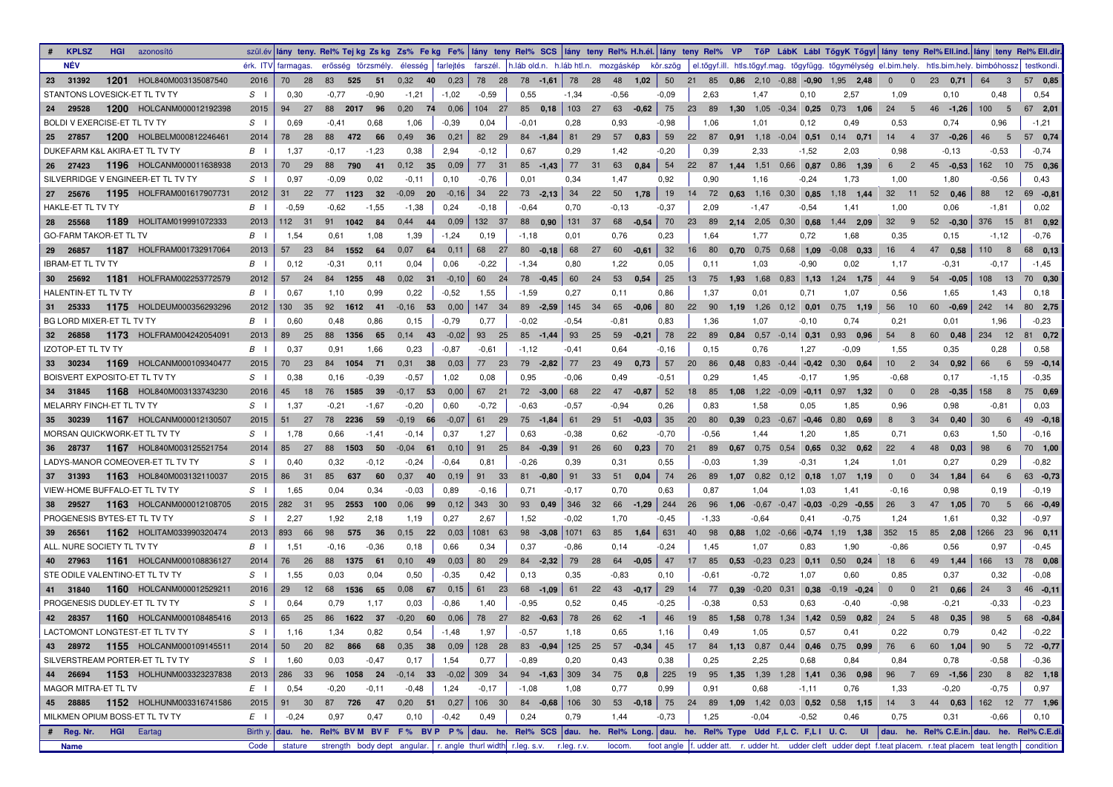| <b>KPLSZ</b><br><b>HGI</b> azonosító |                          |                |                    |            |         |                                      |         |          |                                                                            |         |     |               |               |                      |         |                              | szülév lány teny. Rel% Tejkg Zskg Zs% Fekg Fe% lány teny Rel% SCS lány teny Rel% H.h.él. lány teny Rel% VP TőP LábK Lábi TőgyK Tőgyl lány teny Rel%Ell.ind. lány teny Rel%Ell.idr. |                                          |                                   |                       |                |
|--------------------------------------|--------------------------|----------------|--------------------|------------|---------|--------------------------------------|---------|----------|----------------------------------------------------------------------------|---------|-----|---------------|---------------|----------------------|---------|------------------------------|------------------------------------------------------------------------------------------------------------------------------------------------------------------------------------|------------------------------------------|-----------------------------------|-----------------------|----------------|
| <b>NÉV</b>                           |                          |                | érk. ITV farmagas. |            |         | erősség törzsmély. élesség farlejtés |         |          | farszél. h.láb old.n. h.láb htl.n. mozgáskép kör.szög                      |         |     |               |               |                      |         |                              | el.tőgyf.ill. htls.tőgyf.mag. tőgyfügg. tőgymélység el.bim.hely. htls.bim.hely. bimbóhossz testkondi.                                                                              |                                          |                                   |                       |                |
| 1201<br>23 31392                     | HOL840M003135087540      | 2016           | 70<br>28           | 83<br>525  | 51      | 0,32                                 | 40 0,23 | 78 28    | 78 -1,61 78                                                                |         |     | 28 48 1,02 50 |               |                      |         |                              | 21 85 0.86 2,10 -0,88 -0,90 1,95 2,48                                                                                                                                              | $\mathbf{0}$<br>$\mathbf{0}$             | 23 0,71                           | 64<br>$_{3}$          | 57 0,85        |
| STANTONS LOVESICK-ET TL TV TY        |                          | S <sub>1</sub> | 0,30               | $-0,77$    | $-0.90$ | $-1,21$                              | $-1,02$ | $-0.59$  | 0,55                                                                       | $-1,34$ |     | $-0.56$       | $-0.09$       | 2,63                 | 1,47    | 0,10                         | 2,57                                                                                                                                                                               | 1,09                                     | 0,10                              | 0.48                  | 0,54           |
| 29528<br>24                          | 1200 HOLCANM000012192398 | 2015           | - 27               | 88<br>2017 | 96      | 0,20<br>74                           | 0,06    | 104 27   | $85$ 0.18                                                                  | 103 27  |     | 63            | $-0.62$<br>75 | 23 89                |         | $1,30$ $1,05$ $-0,34$ $0,25$ | $0.73$ 1.06                                                                                                                                                                        | 24<br>-5                                 | $46 - 1.26$                       | 100<br>- 5            | 67 2.01        |
| BOLDI V EXERCISE-ET TL TV TY         |                          | $S \cup$       | 0.69               | $-0,41$    | 0,68    | 1,06                                 | $-0,39$ | 0,04     | $-0,01$                                                                    | 0,28    |     | 0,93          | $-0,98$       | 1,06                 | 1,01    | 0,12                         | 0,49                                                                                                                                                                               | 0,53                                     | 0,74                              | 0,96                  | $-1,21$        |
| 25 27857                             | 1200 HOLBELM000812246461 | 2014           | 78<br>28           | 88<br>472  | 66      | 0,49<br>36                           | 0,21    | 82 29    | $84 - 1,84$                                                                | 81 29   |     | $57$ 0.83     | 59            |                      |         |                              | 22 87 0.91 1.18 -0.04 0.51 0.14 0.71                                                                                                                                               | $14 \quad 4$                             | $37 -0.26$                        | 46<br>$-5$            | 57 0,74        |
| DUKEFARM K&L AKIRA-ET TL TV TY       |                          | $B \cup$       | 1,37               | $-0,17$    | $-1,23$ | 0,38                                 | 2,94    | $-0,12$  | 0,67                                                                       | 0,29    |     | 1,42          | $-0,20$       | 0,39                 | 2,33    | $-1,52$                      | 2,03                                                                                                                                                                               | 0,98                                     | $-0,13$                           | $-0.53$               | $-0,74$        |
| 26 27423                             | 1196 HOLCANM000011638938 | 2013           | 70 29              | 88<br>790  | 41      | $0,12$ 35                            | 0,09    | 77 31    | $85 - 1,43$                                                                | 77 31   |     | 63<br>0,84    | 54            |                      |         | 22 87 1,44 1,51 0,66 0,87    | $0.86$ 1.39                                                                                                                                                                        | 6<br>$\overline{\phantom{0}}^2$          | $45 -0.53$                        | 162 10                | 75 0,36        |
| SILVERRIDGE V ENGINEER-ET TL TV TY   |                          | $S \cup$       | 0.97               | $-0.09$    | 0,02    | $-0,11$                              | 0,10    | $-0,76$  | 0,01                                                                       | 0,34    |     | 1,47          | 0,92          | 0,90                 | 1,16    | $-0,24$                      | 1,73                                                                                                                                                                               | 1,00                                     | 1,80                              | $-0.56$               | 0.43           |
| 27 25676                             | 1195 HOLFRAM001617907731 | 2012           | 31<br>22           | 77<br>1123 | 32      | $-0.09$ 20                           | $-0,16$ | 34<br>22 | $73 - 2.13$                                                                | 34      | 22  | 50<br>1,78    | 19            |                      |         | 14 72 0.63 1.16 0.30 0.85    | 1,18 1,44                                                                                                                                                                          | 32 11                                    | 52 0,46                           | 88<br>12              | 69 - 0,81      |
| HAKLE-ET TL TV TY                    |                          | $B \cup$       | $-0.59$            | $-0.62$    | $-1,55$ | $-1,38$                              | 0,24    | $-0,18$  | $-0,64$                                                                    | 0,70    |     | $-0.13$       | $-0,37$       | 2,09                 | $-1,47$ | $-0,54$                      | 1,41                                                                                                                                                                               | 1,00                                     | 0,06                              | $-1,81$               | 0,02           |
| 28 25568                             | 1189 HOLITAM019991072333 | 2013           | 112 31             | 91<br>1042 | 84      | 0.44<br>44                           | 0,09    | 132 37   | 88 0.90 131 37                                                             |         |     | 68            | 70<br>$-0,54$ | 23 89 2,14 2,05 0,30 |         | 0,68                         | 1.44 2.09                                                                                                                                                                          | 32<br>- 9                                | $52 -0.30$                        | 376 15                | 81 0,92        |
| <b>GO-FARM TAKOR-ET TL TV</b>        |                          | $B \cup$       | 1,54               | 0,61       | 1,08    | 1,39                                 | $-1,24$ | 0,19     | $-1,18$                                                                    | 0,01    |     | 0,76          | 0.23          | 1,64                 | 1,77    | 0,72                         | 1,68                                                                                                                                                                               | 0,35                                     | 0,15                              | $-1,12$               | $-0,76$        |
| 29 26857                             | 1187 HOLFRAM001732917064 | 2013           | 57<br>23           | 84<br>1552 | 64      | 0,07<br>64                           | 0,11    | 68<br>27 | 80<br>$-0.18$                                                              | 68      | 27  | 60<br>$-0,61$ | 32            | 16 80                |         | $0,70$ 0,75 0,68 1,09        | $-0.08$ 0.33                                                                                                                                                                       | 16<br>$\overline{4}$                     | 47<br>0,58                        | 110<br>$_{\rm 8}$     | 68 0,13        |
| <b>IBRAM-ET TL TV TY</b>             |                          | $B \cup$       | 0,12               | $-0.31$    | 0,11    | 0,04                                 | 0,06    | $-0,22$  | $-1,34$                                                                    | 0,80    |     | 1,22          | 0,05          | 0,11                 | 1,03    | $-0.90$                      | 0,02                                                                                                                                                                               | 1,17                                     | $-0.31$                           | $-0,17$               | $-1,45$        |
| 30 25692<br>1181                     | HOLFRAM002253772579      | 2012           | 57<br>24           | 1255<br>84 | 48      | 0,02<br>31                           | $-0,10$ | 60 24    | $78 - 0,45$                                                                | 60      | 24  | 53<br>0,54    | 25            |                      |         | 13 75 1,93 1,68 0,83 1,13    | 1,24 1,75                                                                                                                                                                          | 44<br>-9                                 | $54 -0.05$                        | 108 13                | 70 0,30        |
| HALENTIN-ET TL TV TY                 |                          | $B \cup$       | 0.67               | 1,10       | 0,99    | 0,22                                 | $-0,52$ | 1,55     | $-1,59$                                                                    | 0.27    |     | 0,11          | 0.86          | 1,37                 | 0,01    | 0,71                         | 1,07                                                                                                                                                                               | 0,56                                     | 1,65                              | 1,43                  | 0,18           |
| 31 25333                             | 1175 HOLDEUM000356293296 | 2012           | 130 35             | 92 1612 41 |         | $-0,16$ 53                           | 0,00    | 147 34   | $89 - 2,59$                                                                | 145 34  |     | 65            | 80<br>$-0.06$ | 22<br>90             |         | $1.19$ $1.26$ $0.12$ $0.01$  | $0,75$ 1,19                                                                                                                                                                        | 56<br>10                                 | 60 - 0.69                         | 242 14                | 80 2,75        |
| BG LORD MIXER-ET TL TV TY            |                          | $B \cup$       | 0.60               | 0,48       | 0.86    | 0, 15                                | $-0,79$ | 0,77     | $-0.02$                                                                    | -0,54   |     | $-0.81$       | 0.83          | 1,36                 | 1,07    | $-0,10$                      | 0.74                                                                                                                                                                               | 0,21                                     | 0,01                              | 1,96                  | $-0.23$        |
| 32 26858                             | 1173 HOLFRAM004242054091 | 2013           | 89<br>25           | 88<br>1356 | 65      | $0,14$ 43                            | $-0,02$ | 93<br>25 | $85 - 1,44$                                                                | 93      | 25  | 59            | 78<br>$-0,21$ |                      |         | 22 89 0.84 0.57 -0.14 0.31   | $0.93$ 0.96                                                                                                                                                                        | 54<br>- 8                                | 60 0,48                           | 234 12                | 81 0,72        |
| <b>IZOTOP-ET TL TV TY</b>            |                          | $B \cup$       | 0.37               | 0,91       | 1,66    | 0,23                                 | $-0,87$ | $-0,61$  | $-1,12$                                                                    | $-0,41$ |     | 0,64          | $-0,16$       | 0,15                 | 0,76    | 1,27                         | $-0.09$                                                                                                                                                                            | 1,55                                     | 0,35                              | 0.28                  | 0,58           |
| 33 30234                             | 1169 HOLCANM000109340477 | 2015           | 70 23              | 84 1054    | 71      | 0,31<br>38                           | 0,03    | 77 23    | $79 - 2,82$                                                                | 77      | 23  | 49<br>0.73    | 57            | 20 86                |         |                              | $0.48$ 0.83 -0.44 -0.42 0.30 0.64                                                                                                                                                  | $10 \quad 2$                             | 34 0,92                           | 66<br>6               | $59 -0,14$     |
| BOISVERT EXPOSITO-ET TL TV TY        |                          | $S \cup$       | 0,38               | 0,16       | $-0.39$ | $-0,57$                              | 1,02    | 0,08     | 0.95                                                                       | $-0.06$ |     | 0,49          | $-0,51$       | 0,29                 | 1,45    | $-0,17$                      | 1,95                                                                                                                                                                               | $-0.68$                                  | 0,17                              | $-1,15$               | $-0.35$        |
| 34 31845                             | 1168 HOL840M003133743230 | 2016           | 45<br>18           | 76<br>1585 | 39      | $-0,17$ 53                           | 0,00    | 67 21    | $72 - 3,00$                                                                | 68 22   |     | 47 $-0.87$ 52 |               |                      |         |                              | 18 85 1,08 1,22 -0,09 -0,11 0,97 1,32                                                                                                                                              | $\mathbf{0}$<br>$\overline{0}$           | 28 -0.35                          | 158<br>$_{\rm 8}$     | 75 0,69        |
| MELARRY FINCH-ET TL TV TY            |                          | $S \cup$       | 1,37               | $-0,21$    | $-1,67$ | $-0,20$                              | 0.60    | $-0,72$  | $-0.63$                                                                    | $-0,57$ |     | $-0.94$       | 0,26          | 0,83                 | 1,58    | 0,05                         | 1,85                                                                                                                                                                               | 0,96                                     | 0,98                              | $-0.81$               | 0,03           |
| 35 30239                             | 1167 HOLCANM000012130507 | 2015           | 51 27              | 78 2236    | 59      | $-0.19$ 66                           | $-0,07$ | 61 29    | $75 - 1,84$                                                                | 61      | 29  | $51 - 0.03$   | 35            | 20 80                |         |                              | $0.39$ $0.23$ $-0.67$ $-0.46$ $0.80$ $0.69$                                                                                                                                        | $_{3}$<br>8                              | 34 0.40                           | 30<br>$6\overline{6}$ | $49 -0,18$     |
| MORSAN QUICKWORK-ET TL TV TY         |                          | $S \cup$       | 1.78               | 0,66       | $-1.41$ | $-0,14$                              | 0,37    | 1,27     | 0.63                                                                       | $-0.38$ |     | 0,62          | $-0,70$       | $-0.56$              | 1,44    | 1,20                         | 1,85                                                                                                                                                                               | 0,71                                     | 0.63                              | 1,50                  | $-0,16$        |
| 36 28737                             | 1167 HOL840M003125521754 | 2014           | 85<br>27           | 88 1503    | 50      | $-0.04$ 61                           | 0,10    | 91 25    | $84 - 0.39$                                                                | 91      | -26 | 0,23<br>60    | 70            |                      |         | 21 89 0.67 0.75 0.54 0.65    | $0.32$ 0.62                                                                                                                                                                        | 22<br>$\overline{4}$                     | 48 0.03                           | 98<br>$6\overline{6}$ | 70 1,00        |
| LADYS-MANOR COMEOVER-ET TL TV TY     |                          | $S \cup$       | 0.40               | 0,32       | $-0,12$ | $-0,24$                              | $-0,64$ | 0,81     | $-0,26$                                                                    | 0,39    |     | 0,31          | 0,55          | $-0.03$              | 1,39    | $-0,31$                      | 1,24                                                                                                                                                                               | 1.01                                     | 0,27                              | 0.29                  | $-0.82$        |
| 37 31393                             | 1163 HOL840M003132110037 | 2015           | 31<br>86           | 85<br>637  | 60      | $0.37$ 40                            | 0,19    | 91 33    | $81 - 0,80$                                                                | 91      |     | 33 51 0,04    | 74            |                      |         | 26 89 1,07 0,82 0,12 0,18    | $1,07$ 1,19                                                                                                                                                                        | $\mathbf{0}$<br>$\overline{\phantom{0}}$ | 34 1,84                           | 64<br>6               | 63 - 0,73      |
| VIEW-HOME BUFFALO-ET TL TV TY        |                          | $S \cup$       | 1,65               | 0,04       | 0,34    | $-0,03$                              | 0,89    | $-0,16$  | 0,71                                                                       | $-0,17$ |     | 0,70          | 0.63          | 0.87                 | 1,04    | 1,03                         | 1,41                                                                                                                                                                               | $-0,16$                                  | 0,98                              | 0,19                  | $-0.19$        |
| 38 29527                             | 1163 HOLCANM000012108705 | 2015           | 282 31             | 2553<br>95 | 100     | 0,06<br>99                           | 0,12    | 343 30   | 93 $0,49$ 346                                                              |         | 32  | 66            | $-1,29$ 244   | 26 96                |         |                              | $1,06$ $-0.67$ $-0.47$ $-0.03$ $-0.29$ $-0.55$                                                                                                                                     | 26<br>$_{3}$                             | 47<br>1,05                        | 70<br>$-5$            | 66 -0,49       |
| PROGENESIS BYTES-ET TL TV TY         |                          | $S \cup$       | 2,27               | 1,92       | 2,18    | 1,19                                 | 0,27    | 2,67     | 1,52                                                                       | $-0.02$ |     | 1,70          | $-0,45$       | $-1,33$              | $-0.64$ | 0,41                         | $-0,75$                                                                                                                                                                            | 1,24                                     | 1,61                              | 0,32                  | $-0.97$        |
| 39 26561                             | 1162 HOLITAM033990320474 | 2013           | 893<br>66          | 98<br>575  | 36      | 0,15<br>22                           | 0,03    | 1081 63  | 98 -3,08 1071 63                                                           |         |     | 85<br>1,64    | 631           | 40<br>98             |         | $0.88$ 1,02 -0,66 -0,74      | 1,19 1,38                                                                                                                                                                          | 352 15                                   | 85 2,08                           | 1266 23               | 96 0,11        |
| ALL. NURE SOCIETY TL TV TY           |                          | $B \cup$       | 1,51               | $-0,16$    | $-0.36$ | 0,18                                 | 0.66    | 0,34     | 0.37                                                                       | $-0.86$ |     | 0,14          | $-0.24$       | 1,45                 | 1,07    | 0.83                         | 1,90                                                                                                                                                                               | $-0.86$                                  | 0,56                              | 0.97                  | $-0,45$        |
| 40 27963                             | 1161 HOLCANM000108836127 | 2014           | 76 26              | 88 1375    | 61      | $0,10$ 49                            | 0,03    | 80 29    | $84 - 2,32$ 79 28                                                          |         |     | $64$ -0,05 47 |               |                      |         |                              | 17 85 0.53 0.23 0.23 0.11 0.50 0.24                                                                                                                                                | 18 6                                     | 49 1,44                           | 166 13                | 78 0,08        |
| STE ODILE VALENTINO-ET TL TV TY      |                          | $S \cup$       | 1.55               | 0.03       | 0.04    | 0,50                                 | $-0.35$ | 0,42     | 0.13                                                                       | 0.35    |     | $-0.83$       | 0.10          | -0.61                | $-0,72$ | 1,07                         | 0,60                                                                                                                                                                               | 0,85                                     | 0,37                              | 0.32                  | $-0.08$        |
| 41 31840                             | 1160 HOLCANM000012529211 | 2016           | 29<br>12           | 68 1536    | 65      | 0,08                                 | 67 0,15 | 61 23    | $68$ -1.09 61 22                                                           |         |     | 43 $-0.17$ 29 |               |                      |         | 14 77 0.39 -0.20 0.31 0.38   | $-0,19$ $-0,24$                                                                                                                                                                    | $0\qquad 0$                              | 21 0,66                           | $24 \quad 3$          | $46 - 0,11$    |
| PROGENESIS DUDLEY-ET TL TV TY        |                          | $S \cup$       | 0.64               | 0,79       | 1,17    | 0,03                                 | $-0,86$ | 1,40     | $-0.95$                                                                    | 0,52    |     | 0,45          | $-0,25$       | $-0,38$              | 0,53    | 0.63                         | $-0,40$                                                                                                                                                                            | $-0.98$                                  | $-0,21$                           | $-0.33$               | $-0,23$        |
| 42 28357                             | 1160 HOLCANM000108485416 | 2013           | 65 25              | 86         | 1622 37 | $-0,20$<br>60                        | 0,06    | 78 27    | $82 -0,63$                                                                 | 78      | 26  | 62            | $-1$<br>46    |                      |         |                              | 19 85 1,58 0,78 1,34 1,42 0,59 0,82                                                                                                                                                | 24<br>5                                  | 48 0.35                           | 98<br>5               | 68 - 0,84      |
| LACTOMONT LONGTEST-ET TL TV TY       |                          | $S \perp$      | 1,16               | 1,34       | 0.82    | 0,54                                 | $-1,48$ | 1,97     | $-0,57$                                                                    | 1,18    |     | 0,65          | 1,16          | 0.49                 | 1,05    | 0,57                         | 0,41                                                                                                                                                                               | 0,22                                     | 0,79                              | 0,42                  | $-0,22$        |
|                                      |                          |                |                    |            |         |                                      |         |          |                                                                            |         |     |               |               |                      |         |                              | 128 28 83 -0,94 125 25 57 -0,34 45 17 84 1,13 0,87 0,44 0,46 0,75 0,99 76 6 60 1,04                                                                                                |                                          |                                   |                       |                |
| 43 28972 1155 HOLCANM000109145511    |                          | 2014           | 50 20              | 82 866 68  |         | $0,35$ 38 $0,09$                     |         |          |                                                                            |         |     |               |               |                      |         |                              |                                                                                                                                                                                    |                                          |                                   |                       | 90 5 72 -0,77  |
| SILVERSTREAM PORTER-ET TL TV TY      |                          | $S \mid$       | 1,60               | 0,03       | $-0,47$ | 0,17                                 | 1,54    | 0,77     | $-0,89$                                                                    | 0,20    |     | 0,43          | 0,38          | 0,25                 | 2,25    | 0,68                         | 0,84                                                                                                                                                                               | 0,84                                     | 0,78                              | $-0,58$               | $-0,36$        |
| 44  26694  1153  HOLHUNM003323237838 |                          | 2013           | 286 33             |            |         |                                      |         |          |                                                                            |         |     |               |               |                      |         |                              | 96 1058 24 -0,14 33 -0,02 309 34 94 -1,63 309 34 75 0,8 225 19 95 1,35 1,39 1,28 1,41 0,36 0,98                                                                                    |                                          | $96 \quad 7 \quad 69 \quad -1,56$ |                       | 230 8 82 1,18  |
| MAGOR MITRA-ET TL TV                 |                          | $E \mid$       | 0,54               | $-0,20$    | $-0,11$ | $-0,48$                              | 1,24    | $-0,17$  | $-1,08$                                                                    | 1,08    |     | 0,77          | 0,99          | 0,91                 | 0,68    | $-1,11$                      | 0,76                                                                                                                                                                               | 1,33                                     | $-0,20$                           | $-0,75$               | 0,97           |
| 45 28885 1152 HOLHUNM003316741586    |                          | 2015           | 91 30              |            |         | 87 726 47 0,20 51 0,27               |         |          |                                                                            |         |     |               |               |                      |         |                              | 106 30 84 -0,68 106 30 53 -0,18 75 24 89 1,09 1,42 0,03 0,52 0,58 1,15                                                                                                             |                                          | 14 3 44 0,63                      |                       | 162 12 77 1,96 |
| MILKMEN OPIUM BOSS-ET TL TV TY       |                          | $E \mid$       | $-0,24$            | 0,97       | 0,47    | 0, 10                                | $-0,42$ | 0,49     | 0,24                                                                       | 0,79    |     | 1,44          | $-0,73$       | 1,25                 | $-0,04$ | $-0,52$                      | 0,46                                                                                                                                                                               | 0,75                                     | 0,31                              | $-0,66$               | 0, 10          |
| # Reg. Nr. HGI Eartag                |                          |                |                    |            |         |                                      |         |          |                                                                            |         |     |               |               |                      |         |                              | Birthy. dau. he. Rel% BVM BVF F% BVP P% dau. he. Rel% SCS dau. he. Rel% Long. dau. he. Rel% Type Udd F,L C. F,L I U.C. UI dau. he. Rel% C.E.in. dau. he. Rel% C.E.di.              |                                          |                                   |                       |                |
| Name                                 |                          | Code           | stature            |            |         |                                      |         |          | strength body dept angular.   r. angle thurl width r.leg. s.v. r.leg. r.v. |         |     | locom.        |               |                      |         |                              | foot angle f. udder att. r. udder ht. udder cleft udder dept f.teat placem. r.teat placem teat length condition                                                                    |                                          |                                   |                       |                |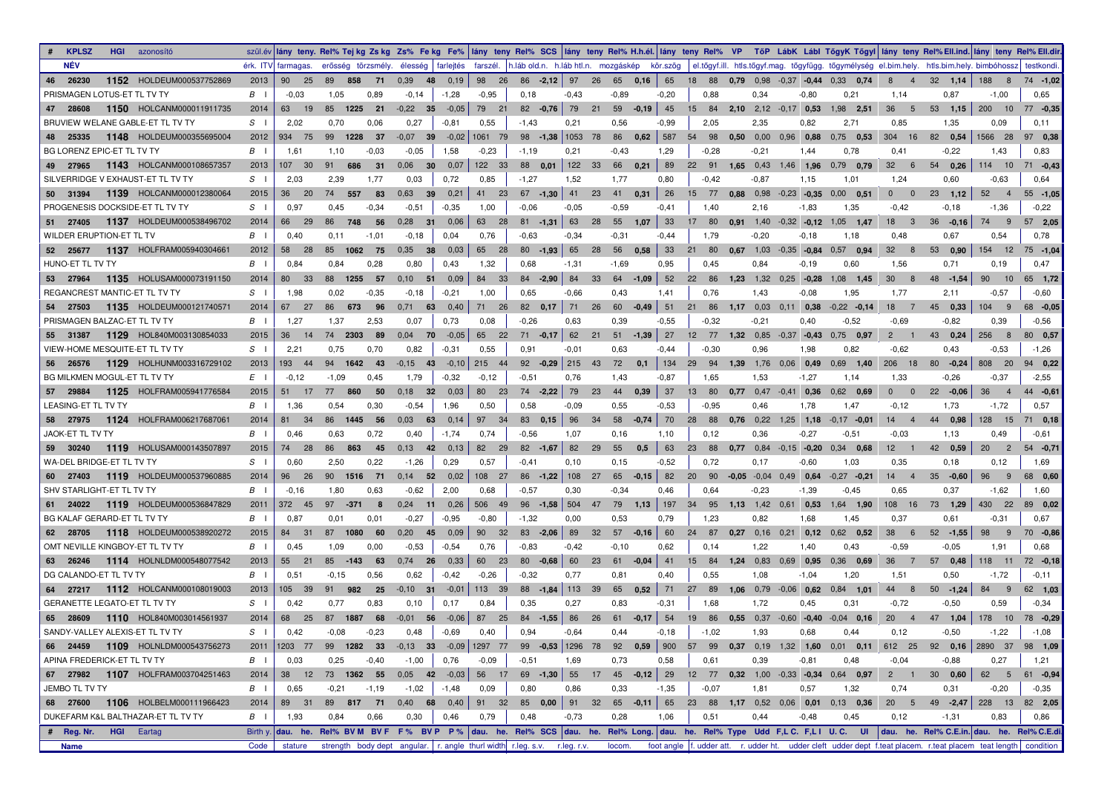| <b>NÉV</b><br>erősség törzsmély. élesség farlejtés farszél. h.láb old.n. h.láb htl.n. mozgáskép kör.szög<br>érk. ITV farmagas.<br>el.tőgyf.ill. htls.tőgyf.mag. tőgyfügg. tőgymélység el.bim.hely. htls.bim.hely. bimbóhossz  testkondi  <br>1152 HOLDEUM000537752869<br>65<br>46 26230<br>2013<br>0,39<br>98 26<br>$86 - 2,12$ 97<br>26 65 0,16<br>18 88 0.79 0.98 -0.37 -0.44 0.33 0.74<br>8<br>32, 1,14<br>188 8<br>90<br>25<br>89<br>858<br>71<br>- 48<br>0,19<br>$\overline{4}$<br>PRISMAGEN LOTUS-ET TL TV TY<br>$B \cup$<br>$-0.03$<br>0,89<br>$-0.95$<br>$-0,43$<br>$-0.89$<br>$-0,20$<br>0.34<br>$-0.80$<br>0,21<br>0,87<br>$-1,00$<br>0.65<br>1,05<br>$-0.14$<br>$-1,28$<br>0,18<br>0,88<br>1,14<br>45<br>1150 HOLCANM000011911735<br>2014<br>$-0,05$<br>79<br>21<br>$82 - 0.76$<br>79<br>21<br>59<br>$2.10$ $2.12$ $-0.17$ $0.53$<br>53<br>200 10<br>$77 - 0.35$<br>47 28608<br>63<br>19<br>85<br>1225<br>21<br>$-0.22$ 35<br>$-0.19$<br>15 84<br>$1,98$ 2.51<br>36<br>5<br>1.15<br>BRUVIEW WELANE GABLE-ET TL TV TY<br>$S \cup$<br>2,02<br>0,70<br>0,06<br>0,27<br>$-0,81$<br>0,55<br>$-1,43$<br>0,21<br>0,56<br>$-0.99$<br>2,05<br>2,35<br>0,82<br>2,71<br>0,85<br>1,35<br>0,09<br>0,11<br>$\vert$ 587<br>1566 28<br>1148 HOLDEUM000355695004<br>2012<br>934 75<br>99<br>1228<br>$-0,07$ 39<br>$-0,02$   1061 79<br>$98$ -1,38 1053 78<br>86 0,62<br>54 98 0.50 0.00 0.96 0.88<br>$0,75$ 0.53<br>304 16<br>82 0,54<br>97 0,38<br>25335<br>37<br>48<br>1,58<br>1,29<br>1,43<br>BG LORENZ EPIC-ET TL TV TY<br>$B \cup$<br>1.61<br>1,10<br>$-0,03$<br>$-0,05$<br>$-0,23$<br>$-1,19$<br>0,21<br>$-0.43$<br>$-0.28$<br>$-0,21$<br>1,44<br>0,78<br>0,41<br>$-0,22$<br>0.83<br>49 27965<br>1143 HOLCANM000108657357<br>686<br>0,06<br>122 33<br>88 0,01<br>122 33<br>66 0,21<br>89<br>$0,79$ 0.79<br>114 10<br>2013<br>107 30<br>91<br>31<br>30<br>0,07<br>22 91 1,65 0,43 1,46 1,96<br>32<br>$6\overline{6}$<br>54 0,26<br>71 - 0,43<br>SILVERRIDGE V EXHAUST-ET TL TV TY<br>$S \cup$<br>2.03<br>2,39<br>1.77<br>0,03<br>0,72<br>0,85<br>$-1,27$<br>1,52<br>1,77<br>0,80<br>$-0,42$<br>$-0.87$<br>1,15<br>1,01<br>$-0.63$<br>0.64<br>1,24<br>0.60<br>26<br>1139 HOLCANM000012380064<br>36<br>557<br>83<br>0,63<br>0,21<br>41 23<br>$67 - 1,30$<br>41 23<br>41 0,31<br>15 77 0.88 0.98 -0.23 -0.35 0.00 0.51<br>23, 1, 12<br>52<br>50 31394<br>2015<br>20<br>74<br>39<br>$\mathbf{0}$<br>$\overline{\phantom{0}}$<br>$\overline{4}$<br>$55 - 1,05$<br>PROGENESIS DOCKSIDE-ET TL TV TY<br>$S \cup$<br>0.97<br>$-0,42$<br>$-1,36$<br>$-0.22$<br>0,45<br>$-0,34$<br>$-0.51$<br>$-0,35$<br>1,00<br>$-0.06$<br>$-0.05$<br>$-0.59$<br>$-0,41$<br>1,40<br>2,16<br>$-1,83$<br>1,35<br>$-0,18$<br>1137 HOLDEUM000538496702<br>63<br>33<br>51 27405<br>2014<br>66<br>29<br>86<br>748<br>56<br>0,28<br>31<br>0,06<br>63 28<br>$81 - 1,31$<br>28 55 1,07<br>17 80<br>$0.91$ 1.40 $-0.32$ $-0.12$ 1.05 1.47<br>$18 \qquad 3$<br>$36 - 0,16$<br>74<br>- 9<br>57 2,05<br>WILDER ERUPTION-ET TL TV<br>$B \cup$<br>0.40<br>$-0,18$<br>0,04<br>0,76<br>$-0.63$<br>$-0,34$<br>$-0,44$<br>1,79<br>$-0,20$<br>$-0,18$<br>1,18<br>0.48<br>0,67<br>0,54<br>0,78<br>0,11<br>$-1,01$<br>$-0.31$<br>1137 HOLFRAM005940304661<br>$80 - 1,93$<br>65<br>0,58<br>33<br>52 25677<br>2012<br>58<br>28<br>85<br>1062 75<br>0,35<br>- 38<br>0,03<br>65 28<br>28<br>56<br>21 80<br>$0.67$ 1.03 -0.35 -0.84 0.57 0.94<br>32<br>8<br>53 0,90<br>154 12<br>75 - 1,04<br>HUNO-ET TL TV TY<br>$B \cup$<br>0.84<br>0,84<br>0,28<br>0.80<br>0,43<br>1,32<br>0.68<br>$-1,31$<br>$-1,69$<br>0.95<br>0,45<br>0.84<br>$-0,19$<br>0,60<br>1,56<br>0,71<br>0,19<br>0,47<br>1135 HOLUSAM000073191150<br>52<br>2014<br>33<br>88<br>1255<br>0,10<br>0,09<br>84 33<br>$84 - 2,90$<br>84<br>33<br>64 - 1,09<br>22 86 1,23 1,32 0,25 -0,28<br>$1,08$ 1,45<br>30<br>48<br>90<br>10<br>65 1,72<br>53 27964<br>80<br>57<br>$-51$<br>8<br>$-1,54$<br>REGANCREST MANTIC-ET TL TV TY<br>$S \cup$<br>1,98<br>0,02<br>$-0.35$<br>$-0,21$<br>1,00<br>0.65<br>$-0.66$<br>0,43<br>1,41<br>0.76<br>1,43<br>$-0.08$<br>1,95<br>1,77<br>2,11<br>$-0.57$<br>$-0.60$<br>$-0,18$<br>51<br>1135 HOLDEUM000121740571<br>2014<br>67<br>86<br>0,40<br>71 26<br>82 0,17<br>71 26<br>60<br>86 1,17 0,03 0,11 0,38<br>$-0,22$ $-0,14$<br>45<br>104 9<br>68 -0,05<br>54 27503<br>27<br>673<br>0,71<br>63<br>$-0,49$<br>21<br>18<br>0,33<br>96<br>$\overline{7}$<br>PRISMAGEN BALZAC-ET TL TV TY<br>$B \cup$<br>1.27<br>2.53<br>0.07<br>0,73<br>0,08<br>$-0.55$<br>0.39<br>$-0.56$<br>1,37<br>$-0,26$<br>0.63<br>0,39<br>-0.32<br>$-0,21$<br>0,40<br>-0.52<br>$-0.69$<br>-0.82<br>62 21<br>27<br>1129 HOL840M003130854033<br>2015<br>36<br>$0,04$ 70 $-0,05$<br>65 22<br>$71 - 0,17$<br>12 77 1,32 0,85 -0,37 -0,43 0,75 0,97<br>43<br>256 8<br>80 0,57<br>55 31387<br>14<br>74 2303<br>89<br>$51 - 1,39$<br>$\overline{2}$<br>0,24<br>$\blacksquare$<br>VIEW-HOME MESQUITE-ET TL TV TY<br>$S \cup$<br>2.21<br>0,75<br>$-0,31$<br>0,55<br>0.63<br>$-0,44$<br>$-0,30$<br>0.96<br>1,98<br>0,82<br>$-0.62$<br>0,43<br>$-0.53$<br>$-1,26$<br>0,70<br>0,82<br>0.91<br>$-0,01$<br>134 29 94 1,39 1,76 0,06 0,49<br>1129 HOLHUNM003316729102<br>2013<br>193 44<br>$-0,15$ 43<br>$-0,10$ 215 44<br>$92 -0.29$ 215 43<br>72<br>0.1<br>$0.69$ 1.40<br>206 18<br>808 20<br>94 0,22<br>56 26576<br>94<br>1642 43<br>$80 - 0,24$<br>$-0,37$<br>BG MILKMEN MOGUL-ET TL TV TY<br>$E \cup$<br>$-0,12$<br>$-1,09$<br>0,45<br>1,79<br>$-0,32$<br>$-0,12$<br>$-0,51$<br>0,76<br>1,43<br>$-0,87$<br>1,65<br>1,53<br>$-1,27$<br>1,14<br>1,33<br>$-0,26$<br>$-2,55$<br>37<br>36<br>57 29884<br>1125 HOLFRAM005941776584<br>2015<br>51<br>77<br>860<br>50<br>0,18<br>0,03<br>80 23<br>$74 - 2.22$<br>79 23<br>44 0.39<br>13 80 0,77 0,47 -0,41 0,36<br>$0,62$ 0.69<br>$\mathbf{0}$<br>$22 - 0.06$<br>44 -0,61<br>17<br>32<br>$\overline{\mathbf{0}}$<br>$\overline{4}$<br>LEASING-ET TL TV TY<br>1,96<br>0,58<br>$-0.53$<br>1,78<br>$-0,12$<br>1,73<br>$-1,72$<br>$B \cup$<br>1,36<br>0,54<br>0,30<br>$-0,54$<br>0,50<br>$-0.09$<br>0,55<br>$-0.95$<br>0,46<br>1,47<br>0.57<br>96<br>70<br>58 27975<br>1124 HOLFRAM006217687061<br>86 1445 56<br>0,03<br>97 34<br>$83$ 0,15<br>34<br>58 - 0,74<br>88 0.76 0.22 1.25 1.18<br>128 15<br>2014<br>81 34<br>63<br>0,14<br>28<br>$-0.17 -0.01$<br>44<br>0,98<br>71 0,18<br>$14 \quad 4$<br><b>JAOK-ET TL TV TY</b><br>$-0,27$<br>$B \cup$<br>0.46<br>0.63<br>0,72<br>0,40<br>$-1,74$<br>0,74<br>$-0.56$<br>1,07<br>1,10<br>0,12<br>0,36<br>$-0.51$<br>$-0.03$<br>0.49<br>$-0.61$<br>0, 16<br>1,13<br>63<br>1119 HOLUSAM000143507897<br>82 29<br>$82 - 1,67$<br>82<br>29<br>55<br>0.5<br>42 0,59<br>20<br>$\overline{2}$<br>59 30240<br>2015<br>74 28<br>86<br>863<br>- 45<br>0,13<br>42<br>0,13<br>23 88 0.77 0.84 -0.15 -0.20 0.34 0.68<br>$12 \quad 1$<br>$54 -0.71$<br>$-0,52$<br>WA-DEL BRIDGE-ET TL TV TY<br>$S \cup$<br>0.60<br>2,50<br>0,22<br>$-1,26$<br>0,29<br>0,57<br>$-0,41$<br>0,15<br>0,72<br>0,17<br>$-0,60$<br>1.03<br>0,35<br>0,18<br>0,12<br>1,69<br>0,10<br>1119 HOLDEUM000537960885<br>82<br>20 90 -0,05 -0,04 0,49 0.64<br>60 27403<br>2014<br>96<br>26<br>90<br>1516<br>71<br>$0,14$ 52 $0,02$<br>108 27<br>86 -1,22 108 27<br>$65 -0,15$<br>$-0.27 -0.21$<br>$14 \quad 4$<br>$35 - 0,60$<br>96<br>9<br>68 0,60<br>SHV STARLIGHT-ET TL TV TY<br>$-1,62$<br>$B \cup$<br>$-0.16$<br>1,80<br>0.63<br>$-0.62$<br>2,00<br>0.68<br>$-0,57$<br>0,30<br>$-0.34$<br>0,46<br>0.64<br>$-0.23$<br>$-1,39$<br>$-0.45$<br>0,65<br>0,37<br>1,60<br>1119 HOLDEUM000536847829<br>0,26<br>506 49<br>$96 - 1,58$ 504 47<br>1,13<br>197<br>430 22<br>89 0,02<br>61 24022<br>2011<br>372 45<br>97<br>$-371$<br>0,24<br>79<br>34<br>95<br>$1,13$ $1,42$ 0.61<br>0,53<br>1,64 1,90<br>108<br>16<br>73 1,29<br>8<br>11<br>BG KALAF GERARD-ET TL TV TY<br>$-0.27$<br>$-0,95$<br>1,68<br>$-0,31$<br>$B \cup$<br>0.87<br>0,01<br>0,01<br>$-0.80$<br>$-1,32$<br>0,00<br>0,53<br>0,79<br>1,23<br>0,82<br>1,45<br>0,37<br>0,61<br>0.67<br>1118 HOLDEUM000538920272<br>89<br>60<br>98<br>9<br>70 -0,86<br>62 28705<br>2015<br>84<br>1080<br>60<br>0,20<br>0,09<br>90<br>32<br>$83 - 2,06$<br>32<br>57<br>$-0,16$<br>24<br>87<br>$0,27$ 0.16 0.21<br>0,12<br>$0,62$ 0.52<br>38<br>$52 - 1,55$<br>- 31<br>87<br>- 45<br>-6<br>OMT NEVILLE KINGBOY-ET TL TV TY<br>0.62<br>1,91<br>$B \cup$<br>0.45<br>1,09<br>0,00<br>$-0.53$<br>$-0,54$<br>0,76<br>$-0.83$<br>$-0,42$<br>1,22<br>1,40<br>0.43<br>$-0,59$<br>$-0.05$<br>0.68<br>$-0,10$<br>0.14<br>63 26246<br>1114 HOLNLDM000548077542<br>2013<br>85<br>$-143$<br>$0,74$ 26<br>0,33<br>60<br>23<br>$80 - 0.68$<br>60<br>-23<br>61<br>$-0,04$<br>41<br>15 84 1,24 0,83 0,69 0,95<br>$0.36$ 0.69<br>57 0,48<br>118 11<br>72 - 0,18<br>55 21<br>-63<br>36<br>$\overline{7}$<br>DG CALANDO-ET TL TV TY<br>$B \cup$<br>0.51<br>$-0.15$<br>0,62<br>$-0,42$<br>$-0,26$<br>$-0.32$<br>0,77<br>0.40<br>0.55<br>1,08<br>$-1,04$<br>1,20<br>$-1,72$<br>$-0,11$<br>0.56<br>0,81<br>1,51<br>0,50<br>84 9<br>1112 HOLCANM000108019003<br>2013<br>105 39<br>982<br>25<br>$-0,10$ 31<br>$-0,01$<br>113 39<br>88 -1,84 113 39<br>65 0,52<br>44 8<br>$50 - 1,24$<br>62 1,03<br>64 27217<br>91<br>0.59<br>GERANETTE LEGATO-ET TL TV TY<br>$S \cup$<br>0.42<br>0.77<br>0,83<br>0,10<br>0,17<br>0,84<br>0,35<br>0,27<br>0,83<br>$-0,31$<br>1,68<br>1,72<br>0,45<br>0,31<br>$-0,72$<br>$-0,50$<br>$-0.34$<br>61 $-0,17$ 54<br>65 28609<br>1110 HOL840M003014561937<br>2014<br>68 25<br>87<br>1887<br>68<br>$-0,01$<br>56<br>$-0,06$<br>87 25<br>$84 - 1,55$ 86<br>26<br>19 86 0.55 0.37 -0.60 -0.40 -0.04 0.16<br>$20 \t 4$<br>47 1,04<br>178 10<br>78 - 0,29<br>SANDY-VALLEY ALEXIS-ET TL TV TY<br>$S \perp$<br>0.42<br>$-0.08$<br>$-0.23$<br>0,48<br>$-0.69$<br>0.94<br>$-1,02$<br>1,93<br>0,68<br>$-1,22$<br>$-1,08$<br>0.40<br>$-0,64$<br>-0.18<br>0,44<br>0,12<br>$-0,50$<br>0,44<br>1203 77 99 1282 33 -0,13 33 -0,09 1297 77 99 -0,53 1296 78 92 0,59 900 57 99 0,37 0,19 1,32 1,60 0,01 0,11 612 25 92 0,16 2890 37 98 1,09<br>66 24459 1109 HOLNLDM000543756273<br>2011<br>APINA FREDERICK-ET TL TV TY<br>0,25<br>$-0,40$<br>$-1,00$<br>0,76<br>$-0,09$<br>$-0,51$<br>0,73<br>0,58<br>0,61<br>0,39<br>$-0,88$<br>0,27<br>$B \cup$<br>0,03<br>1,69<br>$-0,81$<br>0,48<br>$-0,04$<br>1,21<br>38 12 73 1362 55 0,05 42 -0,03 56 17 69 -1,30 55 17 45 -0,12 29 12 77 0,32 1,00 -0,33 -0,34 0,64 0,97 2 1 30 0,60<br>67 27982 1107 HOLFRAM003704251463<br>2014<br><b>JEMBO TL TV TY</b><br>$-0,21$ $-1,19$<br>$-1,02$<br>$B \cup$<br>0,65<br>-1,48<br>0,09<br>0,80<br>0,86<br>0,33<br>$-1,35$<br>$-0,07$<br>1,81<br>0,57<br>1,32<br>0,74<br>0,31<br>-0,20<br>$-0,35$<br>89 817 71 0,40 68 0,40 91 32 85 0,00 91 32 65 -0,11 65 23 88 1,17 0,52 0,06 0,01 0,13 0,36<br>68 27600 1106 HOLBELM000111966423<br>20 5 49 -2,47 228 13 82 2,05<br>2014<br>89 31<br>DUKEFARM K&L BALTHAZAR-ET TL TV TY<br>0,66<br>0,46<br>0,79<br>0,48<br>0,28<br>1,06<br>$-0,48$<br>$B \mid$<br>1,93<br>0,84<br>0,30<br>$-0,73$<br>0,51<br>0,44<br>0,45<br>0,12<br>$-1,31$<br>0,83<br>0,86<br># Reg. Nr. HGI Eartag | <b>KPLSZ</b><br><b>HGI</b> azonosító |      | szülév lány teny. Rel% Tejkg Zskg Zs% Fekg Fe%  lány teny Rel% SCS  lány teny Rel% H.h.él. lány teny Rel% VP TőP LábK Lábl TőgyK Tőgyi  lány teny Rel%Ell.ind. lány teny Rel%Ell.ind. lány teny Rel%Ell.ind. |  |  |  |  |  |  |  |  |  |
|----------------------------------------------------------------------------------------------------------------------------------------------------------------------------------------------------------------------------------------------------------------------------------------------------------------------------------------------------------------------------------------------------------------------------------------------------------------------------------------------------------------------------------------------------------------------------------------------------------------------------------------------------------------------------------------------------------------------------------------------------------------------------------------------------------------------------------------------------------------------------------------------------------------------------------------------------------------------------------------------------------------------------------------------------------------------------------------------------------------------------------------------------------------------------------------------------------------------------------------------------------------------------------------------------------------------------------------------------------------------------------------------------------------------------------------------------------------------------------------------------------------------------------------------------------------------------------------------------------------------------------------------------------------------------------------------------------------------------------------------------------------------------------------------------------------------------------------------------------------------------------------------------------------------------------------------------------------------------------------------------------------------------------------------------------------------------------------------------------------------------------------------------------------------------------------------------------------------------------------------------------------------------------------------------------------------------------------------------------------------------------------------------------------------------------------------------------------------------------------------------------------------------------------------------------------------------------------------------------------------------------------------------------------------------------------------------------------------------------------------------------------------------------------------------------------------------------------------------------------------------------------------------------------------------------------------------------------------------------------------------------------------------------------------------------------------------------------------------------------------------------------------------------------------------------------------------------------------------------------------------------------------------------------------------------------------------------------------------------------------------------------------------------------------------------------------------------------------------------------------------------------------------------------------------------------------------------------------------------------------------------------------------------------------------------------------------------------------------------------------------------------------------------------------------------------------------------------------------------------------------------------------------------------------------------------------------------------------------------------------------------------------------------------------------------------------------------------------------------------------------------------------------------------------------------------------------------------------------------------------------------------------------------------------------------------------------------------------------------------------------------------------------------------------------------------------------------------------------------------------------------------------------------------------------------------------------------------------------------------------------------------------------------------------------------------------------------------------------------------------------------------------------------------------------------------------------------------------------------------------------------------------------------------------------------------------------------------------------------------------------------------------------------------------------------------------------------------------------------------------------------------------------------------------------------------------------------------------------------------------------------------------------------------------------------------------------------------------------------------------------------------------------------------------------------------------------------------------------------------------------------------------------------------------------------------------------------------------------------------------------------------------------------------------------------------------------------------------------------------------------------------------------------------------------------------------------------------------------------------------------------------------------------------------------------------------------------------------------------------------------------------------------------------------------------------------------------------------------------------------------------------------------------------------------------------------------------------------------------------------------------------------------------------------------------------------------------------------------------------------------------------------------------------------------------------------------------------------------------------------------------------------------------------------------------------------------------------------------------------------------------------------------------------------------------------------------------------------------------------------------------------------------------------------------------------------------------------------------------------------------------------------------------------------------------------------------------------------------------------------------------------------------------------------------------------------------------------------------------------------------------------------------------------------------------------------------------------------------------------------------------------------------------------------------------------------------------------------------------------------------------------------------------------------------------------------------------------------------------------------------------------------------------------------------------------------------------------------------------------------------------------------------------------------------------------------------------------------------------------------------------------------------------------------------------------------------------------------------------------------------------------------------------------------------------------------------------------------------------------------------------------------------------------------------------------------------------------------------------------------------------------------------------------------------------------------------------------------------------------------------------------------------------------------------------------------------------------------------------------------------------------------------------------------------------------------------------------------------------------------------------------------------------------------------------------------------------------------------------------------------------------------------------------------------------------------------------------------------------------------------------------------------------------------------------------------------------------------------------------------------------------------------------------------------------------------------------------------------------------------------------------------------------------------------------------------------------------------------------------------------------------------------------------------------------------------------------------------------------------------------------------------------------------------------------------------------------------------------------------------------------------------------------------------------------------------------------------------------------------------------------------------------------------------------------------------------------------------------------------------------------------------------------------------------------------------------------------------------------------------------------------------------------------------------------------------------------------------------------------------------------------------------------------------------------------------------------------------------------------------------------------------------------------------------------------------------------------------------------------------------------------------------------------------------------------------------------------------------------------------------------------------------------------------------------------------------------------------------------------------------------------------------------------------------------------------------------------------------------------------------------------------------------------------------------------------------------------------------------------------------------------------------------------------------------------------------------------------------------------------------------------------------------------------------------------------------------------------------------------------------------------------------------------------------------------------------------------------------------------------------------------------------------------------------------|--------------------------------------|------|--------------------------------------------------------------------------------------------------------------------------------------------------------------------------------------------------------------|--|--|--|--|--|--|--|--|--|
| $74 - 1,02$<br>62 5 61 -0,94                                                                                                                                                                                                                                                                                                                                                                                                                                                                                                                                                                                                                                                                                                                                                                                                                                                                                                                                                                                                                                                                                                                                                                                                                                                                                                                                                                                                                                                                                                                                                                                                                                                                                                                                                                                                                                                                                                                                                                                                                                                                                                                                                                                                                                                                                                                                                                                                                                                                                                                                                                                                                                                                                                                                                                                                                                                                                                                                                                                                                                                                                                                                                                                                                                                                                                                                                                                                                                                                                                                                                                                                                                                                                                                                                                                                                                                                                                                                                                                                                                                                                                                                                                                                                                                                                                                                                                                                                                                                                                                                                                                                                                                                                                                                                                                                                                                                                                                                                                                                                                                                                                                                                                                                                                                                                                                                                                                                                                                                                                                                                                                                                                                                                                                                                                                                                                                                                                                                                                                                                                                                                                                                                                                                                                                                                                                                                                                                                                                                                                                                                                                                                                                                                                                                                                                                                                                                                                                                                                                                                                                                                                                                                                                                                                                                                                                                                                                                                                                                                                                                                                                                                                                                                                                                                                                                                                                                                                                                                                                                                                                                                                                                                                                                                                                                                                                                                                                                                                                                                                                                                                                                                                                                                                                                                                                                                                                                                                                                                                                                                                                                                                                                                                                                                                                                                                                                                                                                                                                                                                                                                                                                                                                                                                                                                                                                                                                                                                                                                                                                                                                                                                                                                                                                                                                                                                                                                                                                                                                                                                                                                                                                                                                                                                                                                                                                                                                                                                                                                                                                                             |                                      |      |                                                                                                                                                                                                              |  |  |  |  |  |  |  |  |  |
|                                                                                                                                                                                                                                                                                                                                                                                                                                                                                                                                                                                                                                                                                                                                                                                                                                                                                                                                                                                                                                                                                                                                                                                                                                                                                                                                                                                                                                                                                                                                                                                                                                                                                                                                                                                                                                                                                                                                                                                                                                                                                                                                                                                                                                                                                                                                                                                                                                                                                                                                                                                                                                                                                                                                                                                                                                                                                                                                                                                                                                                                                                                                                                                                                                                                                                                                                                                                                                                                                                                                                                                                                                                                                                                                                                                                                                                                                                                                                                                                                                                                                                                                                                                                                                                                                                                                                                                                                                                                                                                                                                                                                                                                                                                                                                                                                                                                                                                                                                                                                                                                                                                                                                                                                                                                                                                                                                                                                                                                                                                                                                                                                                                                                                                                                                                                                                                                                                                                                                                                                                                                                                                                                                                                                                                                                                                                                                                                                                                                                                                                                                                                                                                                                                                                                                                                                                                                                                                                                                                                                                                                                                                                                                                                                                                                                                                                                                                                                                                                                                                                                                                                                                                                                                                                                                                                                                                                                                                                                                                                                                                                                                                                                                                                                                                                                                                                                                                                                                                                                                                                                                                                                                                                                                                                                                                                                                                                                                                                                                                                                                                                                                                                                                                                                                                                                                                                                                                                                                                                                                                                                                                                                                                                                                                                                                                                                                                                                                                                                                                                                                                                                                                                                                                                                                                                                                                                                                                                                                                                                                                                                                                                                                                                                                                                                                                                                                                                                                                                                                                                                                                          |                                      |      |                                                                                                                                                                                                              |  |  |  |  |  |  |  |  |  |
|                                                                                                                                                                                                                                                                                                                                                                                                                                                                                                                                                                                                                                                                                                                                                                                                                                                                                                                                                                                                                                                                                                                                                                                                                                                                                                                                                                                                                                                                                                                                                                                                                                                                                                                                                                                                                                                                                                                                                                                                                                                                                                                                                                                                                                                                                                                                                                                                                                                                                                                                                                                                                                                                                                                                                                                                                                                                                                                                                                                                                                                                                                                                                                                                                                                                                                                                                                                                                                                                                                                                                                                                                                                                                                                                                                                                                                                                                                                                                                                                                                                                                                                                                                                                                                                                                                                                                                                                                                                                                                                                                                                                                                                                                                                                                                                                                                                                                                                                                                                                                                                                                                                                                                                                                                                                                                                                                                                                                                                                                                                                                                                                                                                                                                                                                                                                                                                                                                                                                                                                                                                                                                                                                                                                                                                                                                                                                                                                                                                                                                                                                                                                                                                                                                                                                                                                                                                                                                                                                                                                                                                                                                                                                                                                                                                                                                                                                                                                                                                                                                                                                                                                                                                                                                                                                                                                                                                                                                                                                                                                                                                                                                                                                                                                                                                                                                                                                                                                                                                                                                                                                                                                                                                                                                                                                                                                                                                                                                                                                                                                                                                                                                                                                                                                                                                                                                                                                                                                                                                                                                                                                                                                                                                                                                                                                                                                                                                                                                                                                                                                                                                                                                                                                                                                                                                                                                                                                                                                                                                                                                                                                                                                                                                                                                                                                                                                                                                                                                                                                                                                                                                          |                                      |      |                                                                                                                                                                                                              |  |  |  |  |  |  |  |  |  |
|                                                                                                                                                                                                                                                                                                                                                                                                                                                                                                                                                                                                                                                                                                                                                                                                                                                                                                                                                                                                                                                                                                                                                                                                                                                                                                                                                                                                                                                                                                                                                                                                                                                                                                                                                                                                                                                                                                                                                                                                                                                                                                                                                                                                                                                                                                                                                                                                                                                                                                                                                                                                                                                                                                                                                                                                                                                                                                                                                                                                                                                                                                                                                                                                                                                                                                                                                                                                                                                                                                                                                                                                                                                                                                                                                                                                                                                                                                                                                                                                                                                                                                                                                                                                                                                                                                                                                                                                                                                                                                                                                                                                                                                                                                                                                                                                                                                                                                                                                                                                                                                                                                                                                                                                                                                                                                                                                                                                                                                                                                                                                                                                                                                                                                                                                                                                                                                                                                                                                                                                                                                                                                                                                                                                                                                                                                                                                                                                                                                                                                                                                                                                                                                                                                                                                                                                                                                                                                                                                                                                                                                                                                                                                                                                                                                                                                                                                                                                                                                                                                                                                                                                                                                                                                                                                                                                                                                                                                                                                                                                                                                                                                                                                                                                                                                                                                                                                                                                                                                                                                                                                                                                                                                                                                                                                                                                                                                                                                                                                                                                                                                                                                                                                                                                                                                                                                                                                                                                                                                                                                                                                                                                                                                                                                                                                                                                                                                                                                                                                                                                                                                                                                                                                                                                                                                                                                                                                                                                                                                                                                                                                                                                                                                                                                                                                                                                                                                                                                                                                                                                                                                          |                                      |      |                                                                                                                                                                                                              |  |  |  |  |  |  |  |  |  |
|                                                                                                                                                                                                                                                                                                                                                                                                                                                                                                                                                                                                                                                                                                                                                                                                                                                                                                                                                                                                                                                                                                                                                                                                                                                                                                                                                                                                                                                                                                                                                                                                                                                                                                                                                                                                                                                                                                                                                                                                                                                                                                                                                                                                                                                                                                                                                                                                                                                                                                                                                                                                                                                                                                                                                                                                                                                                                                                                                                                                                                                                                                                                                                                                                                                                                                                                                                                                                                                                                                                                                                                                                                                                                                                                                                                                                                                                                                                                                                                                                                                                                                                                                                                                                                                                                                                                                                                                                                                                                                                                                                                                                                                                                                                                                                                                                                                                                                                                                                                                                                                                                                                                                                                                                                                                                                                                                                                                                                                                                                                                                                                                                                                                                                                                                                                                                                                                                                                                                                                                                                                                                                                                                                                                                                                                                                                                                                                                                                                                                                                                                                                                                                                                                                                                                                                                                                                                                                                                                                                                                                                                                                                                                                                                                                                                                                                                                                                                                                                                                                                                                                                                                                                                                                                                                                                                                                                                                                                                                                                                                                                                                                                                                                                                                                                                                                                                                                                                                                                                                                                                                                                                                                                                                                                                                                                                                                                                                                                                                                                                                                                                                                                                                                                                                                                                                                                                                                                                                                                                                                                                                                                                                                                                                                                                                                                                                                                                                                                                                                                                                                                                                                                                                                                                                                                                                                                                                                                                                                                                                                                                                                                                                                                                                                                                                                                                                                                                                                                                                                                                                                                          |                                      |      |                                                                                                                                                                                                              |  |  |  |  |  |  |  |  |  |
|                                                                                                                                                                                                                                                                                                                                                                                                                                                                                                                                                                                                                                                                                                                                                                                                                                                                                                                                                                                                                                                                                                                                                                                                                                                                                                                                                                                                                                                                                                                                                                                                                                                                                                                                                                                                                                                                                                                                                                                                                                                                                                                                                                                                                                                                                                                                                                                                                                                                                                                                                                                                                                                                                                                                                                                                                                                                                                                                                                                                                                                                                                                                                                                                                                                                                                                                                                                                                                                                                                                                                                                                                                                                                                                                                                                                                                                                                                                                                                                                                                                                                                                                                                                                                                                                                                                                                                                                                                                                                                                                                                                                                                                                                                                                                                                                                                                                                                                                                                                                                                                                                                                                                                                                                                                                                                                                                                                                                                                                                                                                                                                                                                                                                                                                                                                                                                                                                                                                                                                                                                                                                                                                                                                                                                                                                                                                                                                                                                                                                                                                                                                                                                                                                                                                                                                                                                                                                                                                                                                                                                                                                                                                                                                                                                                                                                                                                                                                                                                                                                                                                                                                                                                                                                                                                                                                                                                                                                                                                                                                                                                                                                                                                                                                                                                                                                                                                                                                                                                                                                                                                                                                                                                                                                                                                                                                                                                                                                                                                                                                                                                                                                                                                                                                                                                                                                                                                                                                                                                                                                                                                                                                                                                                                                                                                                                                                                                                                                                                                                                                                                                                                                                                                                                                                                                                                                                                                                                                                                                                                                                                                                                                                                                                                                                                                                                                                                                                                                                                                                                                                                                          |                                      |      |                                                                                                                                                                                                              |  |  |  |  |  |  |  |  |  |
| Birthy. dau. he. Rel% BVM BVF F% BVP P% dau. he. Rel% SCS dau. he. Rel% Long. dau. he. Rel% Type Udd F,L C. F,L I U.C. UI dau. he. Rel% C.E.in. dau. he. Rel% C.E.di.                                                                                                                                                                                                                                                                                                                                                                                                                                                                                                                                                                                                                                                                                                                                                                                                                                                                                                                                                                                                                                                                                                                                                                                                                                                                                                                                                                                                                                                                                                                                                                                                                                                                                                                                                                                                                                                                                                                                                                                                                                                                                                                                                                                                                                                                                                                                                                                                                                                                                                                                                                                                                                                                                                                                                                                                                                                                                                                                                                                                                                                                                                                                                                                                                                                                                                                                                                                                                                                                                                                                                                                                                                                                                                                                                                                                                                                                                                                                                                                                                                                                                                                                                                                                                                                                                                                                                                                                                                                                                                                                                                                                                                                                                                                                                                                                                                                                                                                                                                                                                                                                                                                                                                                                                                                                                                                                                                                                                                                                                                                                                                                                                                                                                                                                                                                                                                                                                                                                                                                                                                                                                                                                                                                                                                                                                                                                                                                                                                                                                                                                                                                                                                                                                                                                                                                                                                                                                                                                                                                                                                                                                                                                                                                                                                                                                                                                                                                                                                                                                                                                                                                                                                                                                                                                                                                                                                                                                                                                                                                                                                                                                                                                                                                                                                                                                                                                                                                                                                                                                                                                                                                                                                                                                                                                                                                                                                                                                                                                                                                                                                                                                                                                                                                                                                                                                                                                                                                                                                                                                                                                                                                                                                                                                                                                                                                                                                                                                                                                                                                                                                                                                                                                                                                                                                                                                                                                                                                                                                                                                                                                                                                                                                                                                                                                                                                                                                                                                    |                                      |      |                                                                                                                                                                                                              |  |  |  |  |  |  |  |  |  |
|                                                                                                                                                                                                                                                                                                                                                                                                                                                                                                                                                                                                                                                                                                                                                                                                                                                                                                                                                                                                                                                                                                                                                                                                                                                                                                                                                                                                                                                                                                                                                                                                                                                                                                                                                                                                                                                                                                                                                                                                                                                                                                                                                                                                                                                                                                                                                                                                                                                                                                                                                                                                                                                                                                                                                                                                                                                                                                                                                                                                                                                                                                                                                                                                                                                                                                                                                                                                                                                                                                                                                                                                                                                                                                                                                                                                                                                                                                                                                                                                                                                                                                                                                                                                                                                                                                                                                                                                                                                                                                                                                                                                                                                                                                                                                                                                                                                                                                                                                                                                                                                                                                                                                                                                                                                                                                                                                                                                                                                                                                                                                                                                                                                                                                                                                                                                                                                                                                                                                                                                                                                                                                                                                                                                                                                                                                                                                                                                                                                                                                                                                                                                                                                                                                                                                                                                                                                                                                                                                                                                                                                                                                                                                                                                                                                                                                                                                                                                                                                                                                                                                                                                                                                                                                                                                                                                                                                                                                                                                                                                                                                                                                                                                                                                                                                                                                                                                                                                                                                                                                                                                                                                                                                                                                                                                                                                                                                                                                                                                                                                                                                                                                                                                                                                                                                                                                                                                                                                                                                                                                                                                                                                                                                                                                                                                                                                                                                                                                                                                                                                                                                                                                                                                                                                                                                                                                                                                                                                                                                                                                                                                                                                                                                                                                                                                                                                                                                                                                                                                                                                                                                          |                                      |      |                                                                                                                                                                                                              |  |  |  |  |  |  |  |  |  |
|                                                                                                                                                                                                                                                                                                                                                                                                                                                                                                                                                                                                                                                                                                                                                                                                                                                                                                                                                                                                                                                                                                                                                                                                                                                                                                                                                                                                                                                                                                                                                                                                                                                                                                                                                                                                                                                                                                                                                                                                                                                                                                                                                                                                                                                                                                                                                                                                                                                                                                                                                                                                                                                                                                                                                                                                                                                                                                                                                                                                                                                                                                                                                                                                                                                                                                                                                                                                                                                                                                                                                                                                                                                                                                                                                                                                                                                                                                                                                                                                                                                                                                                                                                                                                                                                                                                                                                                                                                                                                                                                                                                                                                                                                                                                                                                                                                                                                                                                                                                                                                                                                                                                                                                                                                                                                                                                                                                                                                                                                                                                                                                                                                                                                                                                                                                                                                                                                                                                                                                                                                                                                                                                                                                                                                                                                                                                                                                                                                                                                                                                                                                                                                                                                                                                                                                                                                                                                                                                                                                                                                                                                                                                                                                                                                                                                                                                                                                                                                                                                                                                                                                                                                                                                                                                                                                                                                                                                                                                                                                                                                                                                                                                                                                                                                                                                                                                                                                                                                                                                                                                                                                                                                                                                                                                                                                                                                                                                                                                                                                                                                                                                                                                                                                                                                                                                                                                                                                                                                                                                                                                                                                                                                                                                                                                                                                                                                                                                                                                                                                                                                                                                                                                                                                                                                                                                                                                                                                                                                                                                                                                                                                                                                                                                                                                                                                                                                                                                                                                                                                                                                                          |                                      |      |                                                                                                                                                                                                              |  |  |  |  |  |  |  |  |  |
|                                                                                                                                                                                                                                                                                                                                                                                                                                                                                                                                                                                                                                                                                                                                                                                                                                                                                                                                                                                                                                                                                                                                                                                                                                                                                                                                                                                                                                                                                                                                                                                                                                                                                                                                                                                                                                                                                                                                                                                                                                                                                                                                                                                                                                                                                                                                                                                                                                                                                                                                                                                                                                                                                                                                                                                                                                                                                                                                                                                                                                                                                                                                                                                                                                                                                                                                                                                                                                                                                                                                                                                                                                                                                                                                                                                                                                                                                                                                                                                                                                                                                                                                                                                                                                                                                                                                                                                                                                                                                                                                                                                                                                                                                                                                                                                                                                                                                                                                                                                                                                                                                                                                                                                                                                                                                                                                                                                                                                                                                                                                                                                                                                                                                                                                                                                                                                                                                                                                                                                                                                                                                                                                                                                                                                                                                                                                                                                                                                                                                                                                                                                                                                                                                                                                                                                                                                                                                                                                                                                                                                                                                                                                                                                                                                                                                                                                                                                                                                                                                                                                                                                                                                                                                                                                                                                                                                                                                                                                                                                                                                                                                                                                                                                                                                                                                                                                                                                                                                                                                                                                                                                                                                                                                                                                                                                                                                                                                                                                                                                                                                                                                                                                                                                                                                                                                                                                                                                                                                                                                                                                                                                                                                                                                                                                                                                                                                                                                                                                                                                                                                                                                                                                                                                                                                                                                                                                                                                                                                                                                                                                                                                                                                                                                                                                                                                                                                                                                                                                                                                                                                                          |                                      |      |                                                                                                                                                                                                              |  |  |  |  |  |  |  |  |  |
|                                                                                                                                                                                                                                                                                                                                                                                                                                                                                                                                                                                                                                                                                                                                                                                                                                                                                                                                                                                                                                                                                                                                                                                                                                                                                                                                                                                                                                                                                                                                                                                                                                                                                                                                                                                                                                                                                                                                                                                                                                                                                                                                                                                                                                                                                                                                                                                                                                                                                                                                                                                                                                                                                                                                                                                                                                                                                                                                                                                                                                                                                                                                                                                                                                                                                                                                                                                                                                                                                                                                                                                                                                                                                                                                                                                                                                                                                                                                                                                                                                                                                                                                                                                                                                                                                                                                                                                                                                                                                                                                                                                                                                                                                                                                                                                                                                                                                                                                                                                                                                                                                                                                                                                                                                                                                                                                                                                                                                                                                                                                                                                                                                                                                                                                                                                                                                                                                                                                                                                                                                                                                                                                                                                                                                                                                                                                                                                                                                                                                                                                                                                                                                                                                                                                                                                                                                                                                                                                                                                                                                                                                                                                                                                                                                                                                                                                                                                                                                                                                                                                                                                                                                                                                                                                                                                                                                                                                                                                                                                                                                                                                                                                                                                                                                                                                                                                                                                                                                                                                                                                                                                                                                                                                                                                                                                                                                                                                                                                                                                                                                                                                                                                                                                                                                                                                                                                                                                                                                                                                                                                                                                                                                                                                                                                                                                                                                                                                                                                                                                                                                                                                                                                                                                                                                                                                                                                                                                                                                                                                                                                                                                                                                                                                                                                                                                                                                                                                                                                                                                                                                                          |                                      |      |                                                                                                                                                                                                              |  |  |  |  |  |  |  |  |  |
|                                                                                                                                                                                                                                                                                                                                                                                                                                                                                                                                                                                                                                                                                                                                                                                                                                                                                                                                                                                                                                                                                                                                                                                                                                                                                                                                                                                                                                                                                                                                                                                                                                                                                                                                                                                                                                                                                                                                                                                                                                                                                                                                                                                                                                                                                                                                                                                                                                                                                                                                                                                                                                                                                                                                                                                                                                                                                                                                                                                                                                                                                                                                                                                                                                                                                                                                                                                                                                                                                                                                                                                                                                                                                                                                                                                                                                                                                                                                                                                                                                                                                                                                                                                                                                                                                                                                                                                                                                                                                                                                                                                                                                                                                                                                                                                                                                                                                                                                                                                                                                                                                                                                                                                                                                                                                                                                                                                                                                                                                                                                                                                                                                                                                                                                                                                                                                                                                                                                                                                                                                                                                                                                                                                                                                                                                                                                                                                                                                                                                                                                                                                                                                                                                                                                                                                                                                                                                                                                                                                                                                                                                                                                                                                                                                                                                                                                                                                                                                                                                                                                                                                                                                                                                                                                                                                                                                                                                                                                                                                                                                                                                                                                                                                                                                                                                                                                                                                                                                                                                                                                                                                                                                                                                                                                                                                                                                                                                                                                                                                                                                                                                                                                                                                                                                                                                                                                                                                                                                                                                                                                                                                                                                                                                                                                                                                                                                                                                                                                                                                                                                                                                                                                                                                                                                                                                                                                                                                                                                                                                                                                                                                                                                                                                                                                                                                                                                                                                                                                                                                                                                                          |                                      |      |                                                                                                                                                                                                              |  |  |  |  |  |  |  |  |  |
|                                                                                                                                                                                                                                                                                                                                                                                                                                                                                                                                                                                                                                                                                                                                                                                                                                                                                                                                                                                                                                                                                                                                                                                                                                                                                                                                                                                                                                                                                                                                                                                                                                                                                                                                                                                                                                                                                                                                                                                                                                                                                                                                                                                                                                                                                                                                                                                                                                                                                                                                                                                                                                                                                                                                                                                                                                                                                                                                                                                                                                                                                                                                                                                                                                                                                                                                                                                                                                                                                                                                                                                                                                                                                                                                                                                                                                                                                                                                                                                                                                                                                                                                                                                                                                                                                                                                                                                                                                                                                                                                                                                                                                                                                                                                                                                                                                                                                                                                                                                                                                                                                                                                                                                                                                                                                                                                                                                                                                                                                                                                                                                                                                                                                                                                                                                                                                                                                                                                                                                                                                                                                                                                                                                                                                                                                                                                                                                                                                                                                                                                                                                                                                                                                                                                                                                                                                                                                                                                                                                                                                                                                                                                                                                                                                                                                                                                                                                                                                                                                                                                                                                                                                                                                                                                                                                                                                                                                                                                                                                                                                                                                                                                                                                                                                                                                                                                                                                                                                                                                                                                                                                                                                                                                                                                                                                                                                                                                                                                                                                                                                                                                                                                                                                                                                                                                                                                                                                                                                                                                                                                                                                                                                                                                                                                                                                                                                                                                                                                                                                                                                                                                                                                                                                                                                                                                                                                                                                                                                                                                                                                                                                                                                                                                                                                                                                                                                                                                                                                                                                                                                                          |                                      |      |                                                                                                                                                                                                              |  |  |  |  |  |  |  |  |  |
|                                                                                                                                                                                                                                                                                                                                                                                                                                                                                                                                                                                                                                                                                                                                                                                                                                                                                                                                                                                                                                                                                                                                                                                                                                                                                                                                                                                                                                                                                                                                                                                                                                                                                                                                                                                                                                                                                                                                                                                                                                                                                                                                                                                                                                                                                                                                                                                                                                                                                                                                                                                                                                                                                                                                                                                                                                                                                                                                                                                                                                                                                                                                                                                                                                                                                                                                                                                                                                                                                                                                                                                                                                                                                                                                                                                                                                                                                                                                                                                                                                                                                                                                                                                                                                                                                                                                                                                                                                                                                                                                                                                                                                                                                                                                                                                                                                                                                                                                                                                                                                                                                                                                                                                                                                                                                                                                                                                                                                                                                                                                                                                                                                                                                                                                                                                                                                                                                                                                                                                                                                                                                                                                                                                                                                                                                                                                                                                                                                                                                                                                                                                                                                                                                                                                                                                                                                                                                                                                                                                                                                                                                                                                                                                                                                                                                                                                                                                                                                                                                                                                                                                                                                                                                                                                                                                                                                                                                                                                                                                                                                                                                                                                                                                                                                                                                                                                                                                                                                                                                                                                                                                                                                                                                                                                                                                                                                                                                                                                                                                                                                                                                                                                                                                                                                                                                                                                                                                                                                                                                                                                                                                                                                                                                                                                                                                                                                                                                                                                                                                                                                                                                                                                                                                                                                                                                                                                                                                                                                                                                                                                                                                                                                                                                                                                                                                                                                                                                                                                                                                                                                                          |                                      |      |                                                                                                                                                                                                              |  |  |  |  |  |  |  |  |  |
|                                                                                                                                                                                                                                                                                                                                                                                                                                                                                                                                                                                                                                                                                                                                                                                                                                                                                                                                                                                                                                                                                                                                                                                                                                                                                                                                                                                                                                                                                                                                                                                                                                                                                                                                                                                                                                                                                                                                                                                                                                                                                                                                                                                                                                                                                                                                                                                                                                                                                                                                                                                                                                                                                                                                                                                                                                                                                                                                                                                                                                                                                                                                                                                                                                                                                                                                                                                                                                                                                                                                                                                                                                                                                                                                                                                                                                                                                                                                                                                                                                                                                                                                                                                                                                                                                                                                                                                                                                                                                                                                                                                                                                                                                                                                                                                                                                                                                                                                                                                                                                                                                                                                                                                                                                                                                                                                                                                                                                                                                                                                                                                                                                                                                                                                                                                                                                                                                                                                                                                                                                                                                                                                                                                                                                                                                                                                                                                                                                                                                                                                                                                                                                                                                                                                                                                                                                                                                                                                                                                                                                                                                                                                                                                                                                                                                                                                                                                                                                                                                                                                                                                                                                                                                                                                                                                                                                                                                                                                                                                                                                                                                                                                                                                                                                                                                                                                                                                                                                                                                                                                                                                                                                                                                                                                                                                                                                                                                                                                                                                                                                                                                                                                                                                                                                                                                                                                                                                                                                                                                                                                                                                                                                                                                                                                                                                                                                                                                                                                                                                                                                                                                                                                                                                                                                                                                                                                                                                                                                                                                                                                                                                                                                                                                                                                                                                                                                                                                                                                                                                                                                                          |                                      |      |                                                                                                                                                                                                              |  |  |  |  |  |  |  |  |  |
|                                                                                                                                                                                                                                                                                                                                                                                                                                                                                                                                                                                                                                                                                                                                                                                                                                                                                                                                                                                                                                                                                                                                                                                                                                                                                                                                                                                                                                                                                                                                                                                                                                                                                                                                                                                                                                                                                                                                                                                                                                                                                                                                                                                                                                                                                                                                                                                                                                                                                                                                                                                                                                                                                                                                                                                                                                                                                                                                                                                                                                                                                                                                                                                                                                                                                                                                                                                                                                                                                                                                                                                                                                                                                                                                                                                                                                                                                                                                                                                                                                                                                                                                                                                                                                                                                                                                                                                                                                                                                                                                                                                                                                                                                                                                                                                                                                                                                                                                                                                                                                                                                                                                                                                                                                                                                                                                                                                                                                                                                                                                                                                                                                                                                                                                                                                                                                                                                                                                                                                                                                                                                                                                                                                                                                                                                                                                                                                                                                                                                                                                                                                                                                                                                                                                                                                                                                                                                                                                                                                                                                                                                                                                                                                                                                                                                                                                                                                                                                                                                                                                                                                                                                                                                                                                                                                                                                                                                                                                                                                                                                                                                                                                                                                                                                                                                                                                                                                                                                                                                                                                                                                                                                                                                                                                                                                                                                                                                                                                                                                                                                                                                                                                                                                                                                                                                                                                                                                                                                                                                                                                                                                                                                                                                                                                                                                                                                                                                                                                                                                                                                                                                                                                                                                                                                                                                                                                                                                                                                                                                                                                                                                                                                                                                                                                                                                                                                                                                                                                                                                                                                                          |                                      |      |                                                                                                                                                                                                              |  |  |  |  |  |  |  |  |  |
|                                                                                                                                                                                                                                                                                                                                                                                                                                                                                                                                                                                                                                                                                                                                                                                                                                                                                                                                                                                                                                                                                                                                                                                                                                                                                                                                                                                                                                                                                                                                                                                                                                                                                                                                                                                                                                                                                                                                                                                                                                                                                                                                                                                                                                                                                                                                                                                                                                                                                                                                                                                                                                                                                                                                                                                                                                                                                                                                                                                                                                                                                                                                                                                                                                                                                                                                                                                                                                                                                                                                                                                                                                                                                                                                                                                                                                                                                                                                                                                                                                                                                                                                                                                                                                                                                                                                                                                                                                                                                                                                                                                                                                                                                                                                                                                                                                                                                                                                                                                                                                                                                                                                                                                                                                                                                                                                                                                                                                                                                                                                                                                                                                                                                                                                                                                                                                                                                                                                                                                                                                                                                                                                                                                                                                                                                                                                                                                                                                                                                                                                                                                                                                                                                                                                                                                                                                                                                                                                                                                                                                                                                                                                                                                                                                                                                                                                                                                                                                                                                                                                                                                                                                                                                                                                                                                                                                                                                                                                                                                                                                                                                                                                                                                                                                                                                                                                                                                                                                                                                                                                                                                                                                                                                                                                                                                                                                                                                                                                                                                                                                                                                                                                                                                                                                                                                                                                                                                                                                                                                                                                                                                                                                                                                                                                                                                                                                                                                                                                                                                                                                                                                                                                                                                                                                                                                                                                                                                                                                                                                                                                                                                                                                                                                                                                                                                                                                                                                                                                                                                                                                                          |                                      |      |                                                                                                                                                                                                              |  |  |  |  |  |  |  |  |  |
|                                                                                                                                                                                                                                                                                                                                                                                                                                                                                                                                                                                                                                                                                                                                                                                                                                                                                                                                                                                                                                                                                                                                                                                                                                                                                                                                                                                                                                                                                                                                                                                                                                                                                                                                                                                                                                                                                                                                                                                                                                                                                                                                                                                                                                                                                                                                                                                                                                                                                                                                                                                                                                                                                                                                                                                                                                                                                                                                                                                                                                                                                                                                                                                                                                                                                                                                                                                                                                                                                                                                                                                                                                                                                                                                                                                                                                                                                                                                                                                                                                                                                                                                                                                                                                                                                                                                                                                                                                                                                                                                                                                                                                                                                                                                                                                                                                                                                                                                                                                                                                                                                                                                                                                                                                                                                                                                                                                                                                                                                                                                                                                                                                                                                                                                                                                                                                                                                                                                                                                                                                                                                                                                                                                                                                                                                                                                                                                                                                                                                                                                                                                                                                                                                                                                                                                                                                                                                                                                                                                                                                                                                                                                                                                                                                                                                                                                                                                                                                                                                                                                                                                                                                                                                                                                                                                                                                                                                                                                                                                                                                                                                                                                                                                                                                                                                                                                                                                                                                                                                                                                                                                                                                                                                                                                                                                                                                                                                                                                                                                                                                                                                                                                                                                                                                                                                                                                                                                                                                                                                                                                                                                                                                                                                                                                                                                                                                                                                                                                                                                                                                                                                                                                                                                                                                                                                                                                                                                                                                                                                                                                                                                                                                                                                                                                                                                                                                                                                                                                                                                                                                                          |                                      |      |                                                                                                                                                                                                              |  |  |  |  |  |  |  |  |  |
|                                                                                                                                                                                                                                                                                                                                                                                                                                                                                                                                                                                                                                                                                                                                                                                                                                                                                                                                                                                                                                                                                                                                                                                                                                                                                                                                                                                                                                                                                                                                                                                                                                                                                                                                                                                                                                                                                                                                                                                                                                                                                                                                                                                                                                                                                                                                                                                                                                                                                                                                                                                                                                                                                                                                                                                                                                                                                                                                                                                                                                                                                                                                                                                                                                                                                                                                                                                                                                                                                                                                                                                                                                                                                                                                                                                                                                                                                                                                                                                                                                                                                                                                                                                                                                                                                                                                                                                                                                                                                                                                                                                                                                                                                                                                                                                                                                                                                                                                                                                                                                                                                                                                                                                                                                                                                                                                                                                                                                                                                                                                                                                                                                                                                                                                                                                                                                                                                                                                                                                                                                                                                                                                                                                                                                                                                                                                                                                                                                                                                                                                                                                                                                                                                                                                                                                                                                                                                                                                                                                                                                                                                                                                                                                                                                                                                                                                                                                                                                                                                                                                                                                                                                                                                                                                                                                                                                                                                                                                                                                                                                                                                                                                                                                                                                                                                                                                                                                                                                                                                                                                                                                                                                                                                                                                                                                                                                                                                                                                                                                                                                                                                                                                                                                                                                                                                                                                                                                                                                                                                                                                                                                                                                                                                                                                                                                                                                                                                                                                                                                                                                                                                                                                                                                                                                                                                                                                                                                                                                                                                                                                                                                                                                                                                                                                                                                                                                                                                                                                                                                                                                                          |                                      |      |                                                                                                                                                                                                              |  |  |  |  |  |  |  |  |  |
|                                                                                                                                                                                                                                                                                                                                                                                                                                                                                                                                                                                                                                                                                                                                                                                                                                                                                                                                                                                                                                                                                                                                                                                                                                                                                                                                                                                                                                                                                                                                                                                                                                                                                                                                                                                                                                                                                                                                                                                                                                                                                                                                                                                                                                                                                                                                                                                                                                                                                                                                                                                                                                                                                                                                                                                                                                                                                                                                                                                                                                                                                                                                                                                                                                                                                                                                                                                                                                                                                                                                                                                                                                                                                                                                                                                                                                                                                                                                                                                                                                                                                                                                                                                                                                                                                                                                                                                                                                                                                                                                                                                                                                                                                                                                                                                                                                                                                                                                                                                                                                                                                                                                                                                                                                                                                                                                                                                                                                                                                                                                                                                                                                                                                                                                                                                                                                                                                                                                                                                                                                                                                                                                                                                                                                                                                                                                                                                                                                                                                                                                                                                                                                                                                                                                                                                                                                                                                                                                                                                                                                                                                                                                                                                                                                                                                                                                                                                                                                                                                                                                                                                                                                                                                                                                                                                                                                                                                                                                                                                                                                                                                                                                                                                                                                                                                                                                                                                                                                                                                                                                                                                                                                                                                                                                                                                                                                                                                                                                                                                                                                                                                                                                                                                                                                                                                                                                                                                                                                                                                                                                                                                                                                                                                                                                                                                                                                                                                                                                                                                                                                                                                                                                                                                                                                                                                                                                                                                                                                                                                                                                                                                                                                                                                                                                                                                                                                                                                                                                                                                                                                                          |                                      |      |                                                                                                                                                                                                              |  |  |  |  |  |  |  |  |  |
|                                                                                                                                                                                                                                                                                                                                                                                                                                                                                                                                                                                                                                                                                                                                                                                                                                                                                                                                                                                                                                                                                                                                                                                                                                                                                                                                                                                                                                                                                                                                                                                                                                                                                                                                                                                                                                                                                                                                                                                                                                                                                                                                                                                                                                                                                                                                                                                                                                                                                                                                                                                                                                                                                                                                                                                                                                                                                                                                                                                                                                                                                                                                                                                                                                                                                                                                                                                                                                                                                                                                                                                                                                                                                                                                                                                                                                                                                                                                                                                                                                                                                                                                                                                                                                                                                                                                                                                                                                                                                                                                                                                                                                                                                                                                                                                                                                                                                                                                                                                                                                                                                                                                                                                                                                                                                                                                                                                                                                                                                                                                                                                                                                                                                                                                                                                                                                                                                                                                                                                                                                                                                                                                                                                                                                                                                                                                                                                                                                                                                                                                                                                                                                                                                                                                                                                                                                                                                                                                                                                                                                                                                                                                                                                                                                                                                                                                                                                                                                                                                                                                                                                                                                                                                                                                                                                                                                                                                                                                                                                                                                                                                                                                                                                                                                                                                                                                                                                                                                                                                                                                                                                                                                                                                                                                                                                                                                                                                                                                                                                                                                                                                                                                                                                                                                                                                                                                                                                                                                                                                                                                                                                                                                                                                                                                                                                                                                                                                                                                                                                                                                                                                                                                                                                                                                                                                                                                                                                                                                                                                                                                                                                                                                                                                                                                                                                                                                                                                                                                                                                                                                                          |                                      |      |                                                                                                                                                                                                              |  |  |  |  |  |  |  |  |  |
|                                                                                                                                                                                                                                                                                                                                                                                                                                                                                                                                                                                                                                                                                                                                                                                                                                                                                                                                                                                                                                                                                                                                                                                                                                                                                                                                                                                                                                                                                                                                                                                                                                                                                                                                                                                                                                                                                                                                                                                                                                                                                                                                                                                                                                                                                                                                                                                                                                                                                                                                                                                                                                                                                                                                                                                                                                                                                                                                                                                                                                                                                                                                                                                                                                                                                                                                                                                                                                                                                                                                                                                                                                                                                                                                                                                                                                                                                                                                                                                                                                                                                                                                                                                                                                                                                                                                                                                                                                                                                                                                                                                                                                                                                                                                                                                                                                                                                                                                                                                                                                                                                                                                                                                                                                                                                                                                                                                                                                                                                                                                                                                                                                                                                                                                                                                                                                                                                                                                                                                                                                                                                                                                                                                                                                                                                                                                                                                                                                                                                                                                                                                                                                                                                                                                                                                                                                                                                                                                                                                                                                                                                                                                                                                                                                                                                                                                                                                                                                                                                                                                                                                                                                                                                                                                                                                                                                                                                                                                                                                                                                                                                                                                                                                                                                                                                                                                                                                                                                                                                                                                                                                                                                                                                                                                                                                                                                                                                                                                                                                                                                                                                                                                                                                                                                                                                                                                                                                                                                                                                                                                                                                                                                                                                                                                                                                                                                                                                                                                                                                                                                                                                                                                                                                                                                                                                                                                                                                                                                                                                                                                                                                                                                                                                                                                                                                                                                                                                                                                                                                                                                                          |                                      |      |                                                                                                                                                                                                              |  |  |  |  |  |  |  |  |  |
|                                                                                                                                                                                                                                                                                                                                                                                                                                                                                                                                                                                                                                                                                                                                                                                                                                                                                                                                                                                                                                                                                                                                                                                                                                                                                                                                                                                                                                                                                                                                                                                                                                                                                                                                                                                                                                                                                                                                                                                                                                                                                                                                                                                                                                                                                                                                                                                                                                                                                                                                                                                                                                                                                                                                                                                                                                                                                                                                                                                                                                                                                                                                                                                                                                                                                                                                                                                                                                                                                                                                                                                                                                                                                                                                                                                                                                                                                                                                                                                                                                                                                                                                                                                                                                                                                                                                                                                                                                                                                                                                                                                                                                                                                                                                                                                                                                                                                                                                                                                                                                                                                                                                                                                                                                                                                                                                                                                                                                                                                                                                                                                                                                                                                                                                                                                                                                                                                                                                                                                                                                                                                                                                                                                                                                                                                                                                                                                                                                                                                                                                                                                                                                                                                                                                                                                                                                                                                                                                                                                                                                                                                                                                                                                                                                                                                                                                                                                                                                                                                                                                                                                                                                                                                                                                                                                                                                                                                                                                                                                                                                                                                                                                                                                                                                                                                                                                                                                                                                                                                                                                                                                                                                                                                                                                                                                                                                                                                                                                                                                                                                                                                                                                                                                                                                                                                                                                                                                                                                                                                                                                                                                                                                                                                                                                                                                                                                                                                                                                                                                                                                                                                                                                                                                                                                                                                                                                                                                                                                                                                                                                                                                                                                                                                                                                                                                                                                                                                                                                                                                                                                                          |                                      |      |                                                                                                                                                                                                              |  |  |  |  |  |  |  |  |  |
|                                                                                                                                                                                                                                                                                                                                                                                                                                                                                                                                                                                                                                                                                                                                                                                                                                                                                                                                                                                                                                                                                                                                                                                                                                                                                                                                                                                                                                                                                                                                                                                                                                                                                                                                                                                                                                                                                                                                                                                                                                                                                                                                                                                                                                                                                                                                                                                                                                                                                                                                                                                                                                                                                                                                                                                                                                                                                                                                                                                                                                                                                                                                                                                                                                                                                                                                                                                                                                                                                                                                                                                                                                                                                                                                                                                                                                                                                                                                                                                                                                                                                                                                                                                                                                                                                                                                                                                                                                                                                                                                                                                                                                                                                                                                                                                                                                                                                                                                                                                                                                                                                                                                                                                                                                                                                                                                                                                                                                                                                                                                                                                                                                                                                                                                                                                                                                                                                                                                                                                                                                                                                                                                                                                                                                                                                                                                                                                                                                                                                                                                                                                                                                                                                                                                                                                                                                                                                                                                                                                                                                                                                                                                                                                                                                                                                                                                                                                                                                                                                                                                                                                                                                                                                                                                                                                                                                                                                                                                                                                                                                                                                                                                                                                                                                                                                                                                                                                                                                                                                                                                                                                                                                                                                                                                                                                                                                                                                                                                                                                                                                                                                                                                                                                                                                                                                                                                                                                                                                                                                                                                                                                                                                                                                                                                                                                                                                                                                                                                                                                                                                                                                                                                                                                                                                                                                                                                                                                                                                                                                                                                                                                                                                                                                                                                                                                                                                                                                                                                                                                                                                                          |                                      |      |                                                                                                                                                                                                              |  |  |  |  |  |  |  |  |  |
|                                                                                                                                                                                                                                                                                                                                                                                                                                                                                                                                                                                                                                                                                                                                                                                                                                                                                                                                                                                                                                                                                                                                                                                                                                                                                                                                                                                                                                                                                                                                                                                                                                                                                                                                                                                                                                                                                                                                                                                                                                                                                                                                                                                                                                                                                                                                                                                                                                                                                                                                                                                                                                                                                                                                                                                                                                                                                                                                                                                                                                                                                                                                                                                                                                                                                                                                                                                                                                                                                                                                                                                                                                                                                                                                                                                                                                                                                                                                                                                                                                                                                                                                                                                                                                                                                                                                                                                                                                                                                                                                                                                                                                                                                                                                                                                                                                                                                                                                                                                                                                                                                                                                                                                                                                                                                                                                                                                                                                                                                                                                                                                                                                                                                                                                                                                                                                                                                                                                                                                                                                                                                                                                                                                                                                                                                                                                                                                                                                                                                                                                                                                                                                                                                                                                                                                                                                                                                                                                                                                                                                                                                                                                                                                                                                                                                                                                                                                                                                                                                                                                                                                                                                                                                                                                                                                                                                                                                                                                                                                                                                                                                                                                                                                                                                                                                                                                                                                                                                                                                                                                                                                                                                                                                                                                                                                                                                                                                                                                                                                                                                                                                                                                                                                                                                                                                                                                                                                                                                                                                                                                                                                                                                                                                                                                                                                                                                                                                                                                                                                                                                                                                                                                                                                                                                                                                                                                                                                                                                                                                                                                                                                                                                                                                                                                                                                                                                                                                                                                                                                                                                                          |                                      |      |                                                                                                                                                                                                              |  |  |  |  |  |  |  |  |  |
|                                                                                                                                                                                                                                                                                                                                                                                                                                                                                                                                                                                                                                                                                                                                                                                                                                                                                                                                                                                                                                                                                                                                                                                                                                                                                                                                                                                                                                                                                                                                                                                                                                                                                                                                                                                                                                                                                                                                                                                                                                                                                                                                                                                                                                                                                                                                                                                                                                                                                                                                                                                                                                                                                                                                                                                                                                                                                                                                                                                                                                                                                                                                                                                                                                                                                                                                                                                                                                                                                                                                                                                                                                                                                                                                                                                                                                                                                                                                                                                                                                                                                                                                                                                                                                                                                                                                                                                                                                                                                                                                                                                                                                                                                                                                                                                                                                                                                                                                                                                                                                                                                                                                                                                                                                                                                                                                                                                                                                                                                                                                                                                                                                                                                                                                                                                                                                                                                                                                                                                                                                                                                                                                                                                                                                                                                                                                                                                                                                                                                                                                                                                                                                                                                                                                                                                                                                                                                                                                                                                                                                                                                                                                                                                                                                                                                                                                                                                                                                                                                                                                                                                                                                                                                                                                                                                                                                                                                                                                                                                                                                                                                                                                                                                                                                                                                                                                                                                                                                                                                                                                                                                                                                                                                                                                                                                                                                                                                                                                                                                                                                                                                                                                                                                                                                                                                                                                                                                                                                                                                                                                                                                                                                                                                                                                                                                                                                                                                                                                                                                                                                                                                                                                                                                                                                                                                                                                                                                                                                                                                                                                                                                                                                                                                                                                                                                                                                                                                                                                                                                                                                                          |                                      |      |                                                                                                                                                                                                              |  |  |  |  |  |  |  |  |  |
|                                                                                                                                                                                                                                                                                                                                                                                                                                                                                                                                                                                                                                                                                                                                                                                                                                                                                                                                                                                                                                                                                                                                                                                                                                                                                                                                                                                                                                                                                                                                                                                                                                                                                                                                                                                                                                                                                                                                                                                                                                                                                                                                                                                                                                                                                                                                                                                                                                                                                                                                                                                                                                                                                                                                                                                                                                                                                                                                                                                                                                                                                                                                                                                                                                                                                                                                                                                                                                                                                                                                                                                                                                                                                                                                                                                                                                                                                                                                                                                                                                                                                                                                                                                                                                                                                                                                                                                                                                                                                                                                                                                                                                                                                                                                                                                                                                                                                                                                                                                                                                                                                                                                                                                                                                                                                                                                                                                                                                                                                                                                                                                                                                                                                                                                                                                                                                                                                                                                                                                                                                                                                                                                                                                                                                                                                                                                                                                                                                                                                                                                                                                                                                                                                                                                                                                                                                                                                                                                                                                                                                                                                                                                                                                                                                                                                                                                                                                                                                                                                                                                                                                                                                                                                                                                                                                                                                                                                                                                                                                                                                                                                                                                                                                                                                                                                                                                                                                                                                                                                                                                                                                                                                                                                                                                                                                                                                                                                                                                                                                                                                                                                                                                                                                                                                                                                                                                                                                                                                                                                                                                                                                                                                                                                                                                                                                                                                                                                                                                                                                                                                                                                                                                                                                                                                                                                                                                                                                                                                                                                                                                                                                                                                                                                                                                                                                                                                                                                                                                                                                                                                                          |                                      |      |                                                                                                                                                                                                              |  |  |  |  |  |  |  |  |  |
|                                                                                                                                                                                                                                                                                                                                                                                                                                                                                                                                                                                                                                                                                                                                                                                                                                                                                                                                                                                                                                                                                                                                                                                                                                                                                                                                                                                                                                                                                                                                                                                                                                                                                                                                                                                                                                                                                                                                                                                                                                                                                                                                                                                                                                                                                                                                                                                                                                                                                                                                                                                                                                                                                                                                                                                                                                                                                                                                                                                                                                                                                                                                                                                                                                                                                                                                                                                                                                                                                                                                                                                                                                                                                                                                                                                                                                                                                                                                                                                                                                                                                                                                                                                                                                                                                                                                                                                                                                                                                                                                                                                                                                                                                                                                                                                                                                                                                                                                                                                                                                                                                                                                                                                                                                                                                                                                                                                                                                                                                                                                                                                                                                                                                                                                                                                                                                                                                                                                                                                                                                                                                                                                                                                                                                                                                                                                                                                                                                                                                                                                                                                                                                                                                                                                                                                                                                                                                                                                                                                                                                                                                                                                                                                                                                                                                                                                                                                                                                                                                                                                                                                                                                                                                                                                                                                                                                                                                                                                                                                                                                                                                                                                                                                                                                                                                                                                                                                                                                                                                                                                                                                                                                                                                                                                                                                                                                                                                                                                                                                                                                                                                                                                                                                                                                                                                                                                                                                                                                                                                                                                                                                                                                                                                                                                                                                                                                                                                                                                                                                                                                                                                                                                                                                                                                                                                                                                                                                                                                                                                                                                                                                                                                                                                                                                                                                                                                                                                                                                                                                                                                                          |                                      |      |                                                                                                                                                                                                              |  |  |  |  |  |  |  |  |  |
|                                                                                                                                                                                                                                                                                                                                                                                                                                                                                                                                                                                                                                                                                                                                                                                                                                                                                                                                                                                                                                                                                                                                                                                                                                                                                                                                                                                                                                                                                                                                                                                                                                                                                                                                                                                                                                                                                                                                                                                                                                                                                                                                                                                                                                                                                                                                                                                                                                                                                                                                                                                                                                                                                                                                                                                                                                                                                                                                                                                                                                                                                                                                                                                                                                                                                                                                                                                                                                                                                                                                                                                                                                                                                                                                                                                                                                                                                                                                                                                                                                                                                                                                                                                                                                                                                                                                                                                                                                                                                                                                                                                                                                                                                                                                                                                                                                                                                                                                                                                                                                                                                                                                                                                                                                                                                                                                                                                                                                                                                                                                                                                                                                                                                                                                                                                                                                                                                                                                                                                                                                                                                                                                                                                                                                                                                                                                                                                                                                                                                                                                                                                                                                                                                                                                                                                                                                                                                                                                                                                                                                                                                                                                                                                                                                                                                                                                                                                                                                                                                                                                                                                                                                                                                                                                                                                                                                                                                                                                                                                                                                                                                                                                                                                                                                                                                                                                                                                                                                                                                                                                                                                                                                                                                                                                                                                                                                                                                                                                                                                                                                                                                                                                                                                                                                                                                                                                                                                                                                                                                                                                                                                                                                                                                                                                                                                                                                                                                                                                                                                                                                                                                                                                                                                                                                                                                                                                                                                                                                                                                                                                                                                                                                                                                                                                                                                                                                                                                                                                                                                                                                                          |                                      |      |                                                                                                                                                                                                              |  |  |  |  |  |  |  |  |  |
|                                                                                                                                                                                                                                                                                                                                                                                                                                                                                                                                                                                                                                                                                                                                                                                                                                                                                                                                                                                                                                                                                                                                                                                                                                                                                                                                                                                                                                                                                                                                                                                                                                                                                                                                                                                                                                                                                                                                                                                                                                                                                                                                                                                                                                                                                                                                                                                                                                                                                                                                                                                                                                                                                                                                                                                                                                                                                                                                                                                                                                                                                                                                                                                                                                                                                                                                                                                                                                                                                                                                                                                                                                                                                                                                                                                                                                                                                                                                                                                                                                                                                                                                                                                                                                                                                                                                                                                                                                                                                                                                                                                                                                                                                                                                                                                                                                                                                                                                                                                                                                                                                                                                                                                                                                                                                                                                                                                                                                                                                                                                                                                                                                                                                                                                                                                                                                                                                                                                                                                                                                                                                                                                                                                                                                                                                                                                                                                                                                                                                                                                                                                                                                                                                                                                                                                                                                                                                                                                                                                                                                                                                                                                                                                                                                                                                                                                                                                                                                                                                                                                                                                                                                                                                                                                                                                                                                                                                                                                                                                                                                                                                                                                                                                                                                                                                                                                                                                                                                                                                                                                                                                                                                                                                                                                                                                                                                                                                                                                                                                                                                                                                                                                                                                                                                                                                                                                                                                                                                                                                                                                                                                                                                                                                                                                                                                                                                                                                                                                                                                                                                                                                                                                                                                                                                                                                                                                                                                                                                                                                                                                                                                                                                                                                                                                                                                                                                                                                                                                                                                                                                                          |                                      |      |                                                                                                                                                                                                              |  |  |  |  |  |  |  |  |  |
|                                                                                                                                                                                                                                                                                                                                                                                                                                                                                                                                                                                                                                                                                                                                                                                                                                                                                                                                                                                                                                                                                                                                                                                                                                                                                                                                                                                                                                                                                                                                                                                                                                                                                                                                                                                                                                                                                                                                                                                                                                                                                                                                                                                                                                                                                                                                                                                                                                                                                                                                                                                                                                                                                                                                                                                                                                                                                                                                                                                                                                                                                                                                                                                                                                                                                                                                                                                                                                                                                                                                                                                                                                                                                                                                                                                                                                                                                                                                                                                                                                                                                                                                                                                                                                                                                                                                                                                                                                                                                                                                                                                                                                                                                                                                                                                                                                                                                                                                                                                                                                                                                                                                                                                                                                                                                                                                                                                                                                                                                                                                                                                                                                                                                                                                                                                                                                                                                                                                                                                                                                                                                                                                                                                                                                                                                                                                                                                                                                                                                                                                                                                                                                                                                                                                                                                                                                                                                                                                                                                                                                                                                                                                                                                                                                                                                                                                                                                                                                                                                                                                                                                                                                                                                                                                                                                                                                                                                                                                                                                                                                                                                                                                                                                                                                                                                                                                                                                                                                                                                                                                                                                                                                                                                                                                                                                                                                                                                                                                                                                                                                                                                                                                                                                                                                                                                                                                                                                                                                                                                                                                                                                                                                                                                                                                                                                                                                                                                                                                                                                                                                                                                                                                                                                                                                                                                                                                                                                                                                                                                                                                                                                                                                                                                                                                                                                                                                                                                                                                                                                                                                                          |                                      |      |                                                                                                                                                                                                              |  |  |  |  |  |  |  |  |  |
|                                                                                                                                                                                                                                                                                                                                                                                                                                                                                                                                                                                                                                                                                                                                                                                                                                                                                                                                                                                                                                                                                                                                                                                                                                                                                                                                                                                                                                                                                                                                                                                                                                                                                                                                                                                                                                                                                                                                                                                                                                                                                                                                                                                                                                                                                                                                                                                                                                                                                                                                                                                                                                                                                                                                                                                                                                                                                                                                                                                                                                                                                                                                                                                                                                                                                                                                                                                                                                                                                                                                                                                                                                                                                                                                                                                                                                                                                                                                                                                                                                                                                                                                                                                                                                                                                                                                                                                                                                                                                                                                                                                                                                                                                                                                                                                                                                                                                                                                                                                                                                                                                                                                                                                                                                                                                                                                                                                                                                                                                                                                                                                                                                                                                                                                                                                                                                                                                                                                                                                                                                                                                                                                                                                                                                                                                                                                                                                                                                                                                                                                                                                                                                                                                                                                                                                                                                                                                                                                                                                                                                                                                                                                                                                                                                                                                                                                                                                                                                                                                                                                                                                                                                                                                                                                                                                                                                                                                                                                                                                                                                                                                                                                                                                                                                                                                                                                                                                                                                                                                                                                                                                                                                                                                                                                                                                                                                                                                                                                                                                                                                                                                                                                                                                                                                                                                                                                                                                                                                                                                                                                                                                                                                                                                                                                                                                                                                                                                                                                                                                                                                                                                                                                                                                                                                                                                                                                                                                                                                                                                                                                                                                                                                                                                                                                                                                                                                                                                                                                                                                                                                                          |                                      |      |                                                                                                                                                                                                              |  |  |  |  |  |  |  |  |  |
|                                                                                                                                                                                                                                                                                                                                                                                                                                                                                                                                                                                                                                                                                                                                                                                                                                                                                                                                                                                                                                                                                                                                                                                                                                                                                                                                                                                                                                                                                                                                                                                                                                                                                                                                                                                                                                                                                                                                                                                                                                                                                                                                                                                                                                                                                                                                                                                                                                                                                                                                                                                                                                                                                                                                                                                                                                                                                                                                                                                                                                                                                                                                                                                                                                                                                                                                                                                                                                                                                                                                                                                                                                                                                                                                                                                                                                                                                                                                                                                                                                                                                                                                                                                                                                                                                                                                                                                                                                                                                                                                                                                                                                                                                                                                                                                                                                                                                                                                                                                                                                                                                                                                                                                                                                                                                                                                                                                                                                                                                                                                                                                                                                                                                                                                                                                                                                                                                                                                                                                                                                                                                                                                                                                                                                                                                                                                                                                                                                                                                                                                                                                                                                                                                                                                                                                                                                                                                                                                                                                                                                                                                                                                                                                                                                                                                                                                                                                                                                                                                                                                                                                                                                                                                                                                                                                                                                                                                                                                                                                                                                                                                                                                                                                                                                                                                                                                                                                                                                                                                                                                                                                                                                                                                                                                                                                                                                                                                                                                                                                                                                                                                                                                                                                                                                                                                                                                                                                                                                                                                                                                                                                                                                                                                                                                                                                                                                                                                                                                                                                                                                                                                                                                                                                                                                                                                                                                                                                                                                                                                                                                                                                                                                                                                                                                                                                                                                                                                                                                                                                                                                                          |                                      |      |                                                                                                                                                                                                              |  |  |  |  |  |  |  |  |  |
|                                                                                                                                                                                                                                                                                                                                                                                                                                                                                                                                                                                                                                                                                                                                                                                                                                                                                                                                                                                                                                                                                                                                                                                                                                                                                                                                                                                                                                                                                                                                                                                                                                                                                                                                                                                                                                                                                                                                                                                                                                                                                                                                                                                                                                                                                                                                                                                                                                                                                                                                                                                                                                                                                                                                                                                                                                                                                                                                                                                                                                                                                                                                                                                                                                                                                                                                                                                                                                                                                                                                                                                                                                                                                                                                                                                                                                                                                                                                                                                                                                                                                                                                                                                                                                                                                                                                                                                                                                                                                                                                                                                                                                                                                                                                                                                                                                                                                                                                                                                                                                                                                                                                                                                                                                                                                                                                                                                                                                                                                                                                                                                                                                                                                                                                                                                                                                                                                                                                                                                                                                                                                                                                                                                                                                                                                                                                                                                                                                                                                                                                                                                                                                                                                                                                                                                                                                                                                                                                                                                                                                                                                                                                                                                                                                                                                                                                                                                                                                                                                                                                                                                                                                                                                                                                                                                                                                                                                                                                                                                                                                                                                                                                                                                                                                                                                                                                                                                                                                                                                                                                                                                                                                                                                                                                                                                                                                                                                                                                                                                                                                                                                                                                                                                                                                                                                                                                                                                                                                                                                                                                                                                                                                                                                                                                                                                                                                                                                                                                                                                                                                                                                                                                                                                                                                                                                                                                                                                                                                                                                                                                                                                                                                                                                                                                                                                                                                                                                                                                                                                                                                                          |                                      |      |                                                                                                                                                                                                              |  |  |  |  |  |  |  |  |  |
|                                                                                                                                                                                                                                                                                                                                                                                                                                                                                                                                                                                                                                                                                                                                                                                                                                                                                                                                                                                                                                                                                                                                                                                                                                                                                                                                                                                                                                                                                                                                                                                                                                                                                                                                                                                                                                                                                                                                                                                                                                                                                                                                                                                                                                                                                                                                                                                                                                                                                                                                                                                                                                                                                                                                                                                                                                                                                                                                                                                                                                                                                                                                                                                                                                                                                                                                                                                                                                                                                                                                                                                                                                                                                                                                                                                                                                                                                                                                                                                                                                                                                                                                                                                                                                                                                                                                                                                                                                                                                                                                                                                                                                                                                                                                                                                                                                                                                                                                                                                                                                                                                                                                                                                                                                                                                                                                                                                                                                                                                                                                                                                                                                                                                                                                                                                                                                                                                                                                                                                                                                                                                                                                                                                                                                                                                                                                                                                                                                                                                                                                                                                                                                                                                                                                                                                                                                                                                                                                                                                                                                                                                                                                                                                                                                                                                                                                                                                                                                                                                                                                                                                                                                                                                                                                                                                                                                                                                                                                                                                                                                                                                                                                                                                                                                                                                                                                                                                                                                                                                                                                                                                                                                                                                                                                                                                                                                                                                                                                                                                                                                                                                                                                                                                                                                                                                                                                                                                                                                                                                                                                                                                                                                                                                                                                                                                                                                                                                                                                                                                                                                                                                                                                                                                                                                                                                                                                                                                                                                                                                                                                                                                                                                                                                                                                                                                                                                                                                                                                                                                                                                                          |                                      |      |                                                                                                                                                                                                              |  |  |  |  |  |  |  |  |  |
|                                                                                                                                                                                                                                                                                                                                                                                                                                                                                                                                                                                                                                                                                                                                                                                                                                                                                                                                                                                                                                                                                                                                                                                                                                                                                                                                                                                                                                                                                                                                                                                                                                                                                                                                                                                                                                                                                                                                                                                                                                                                                                                                                                                                                                                                                                                                                                                                                                                                                                                                                                                                                                                                                                                                                                                                                                                                                                                                                                                                                                                                                                                                                                                                                                                                                                                                                                                                                                                                                                                                                                                                                                                                                                                                                                                                                                                                                                                                                                                                                                                                                                                                                                                                                                                                                                                                                                                                                                                                                                                                                                                                                                                                                                                                                                                                                                                                                                                                                                                                                                                                                                                                                                                                                                                                                                                                                                                                                                                                                                                                                                                                                                                                                                                                                                                                                                                                                                                                                                                                                                                                                                                                                                                                                                                                                                                                                                                                                                                                                                                                                                                                                                                                                                                                                                                                                                                                                                                                                                                                                                                                                                                                                                                                                                                                                                                                                                                                                                                                                                                                                                                                                                                                                                                                                                                                                                                                                                                                                                                                                                                                                                                                                                                                                                                                                                                                                                                                                                                                                                                                                                                                                                                                                                                                                                                                                                                                                                                                                                                                                                                                                                                                                                                                                                                                                                                                                                                                                                                                                                                                                                                                                                                                                                                                                                                                                                                                                                                                                                                                                                                                                                                                                                                                                                                                                                                                                                                                                                                                                                                                                                                                                                                                                                                                                                                                                                                                                                                                                                                                                                                          |                                      |      |                                                                                                                                                                                                              |  |  |  |  |  |  |  |  |  |
|                                                                                                                                                                                                                                                                                                                                                                                                                                                                                                                                                                                                                                                                                                                                                                                                                                                                                                                                                                                                                                                                                                                                                                                                                                                                                                                                                                                                                                                                                                                                                                                                                                                                                                                                                                                                                                                                                                                                                                                                                                                                                                                                                                                                                                                                                                                                                                                                                                                                                                                                                                                                                                                                                                                                                                                                                                                                                                                                                                                                                                                                                                                                                                                                                                                                                                                                                                                                                                                                                                                                                                                                                                                                                                                                                                                                                                                                                                                                                                                                                                                                                                                                                                                                                                                                                                                                                                                                                                                                                                                                                                                                                                                                                                                                                                                                                                                                                                                                                                                                                                                                                                                                                                                                                                                                                                                                                                                                                                                                                                                                                                                                                                                                                                                                                                                                                                                                                                                                                                                                                                                                                                                                                                                                                                                                                                                                                                                                                                                                                                                                                                                                                                                                                                                                                                                                                                                                                                                                                                                                                                                                                                                                                                                                                                                                                                                                                                                                                                                                                                                                                                                                                                                                                                                                                                                                                                                                                                                                                                                                                                                                                                                                                                                                                                                                                                                                                                                                                                                                                                                                                                                                                                                                                                                                                                                                                                                                                                                                                                                                                                                                                                                                                                                                                                                                                                                                                                                                                                                                                                                                                                                                                                                                                                                                                                                                                                                                                                                                                                                                                                                                                                                                                                                                                                                                                                                                                                                                                                                                                                                                                                                                                                                                                                                                                                                                                                                                                                                                                                                                                                                          |                                      |      |                                                                                                                                                                                                              |  |  |  |  |  |  |  |  |  |
|                                                                                                                                                                                                                                                                                                                                                                                                                                                                                                                                                                                                                                                                                                                                                                                                                                                                                                                                                                                                                                                                                                                                                                                                                                                                                                                                                                                                                                                                                                                                                                                                                                                                                                                                                                                                                                                                                                                                                                                                                                                                                                                                                                                                                                                                                                                                                                                                                                                                                                                                                                                                                                                                                                                                                                                                                                                                                                                                                                                                                                                                                                                                                                                                                                                                                                                                                                                                                                                                                                                                                                                                                                                                                                                                                                                                                                                                                                                                                                                                                                                                                                                                                                                                                                                                                                                                                                                                                                                                                                                                                                                                                                                                                                                                                                                                                                                                                                                                                                                                                                                                                                                                                                                                                                                                                                                                                                                                                                                                                                                                                                                                                                                                                                                                                                                                                                                                                                                                                                                                                                                                                                                                                                                                                                                                                                                                                                                                                                                                                                                                                                                                                                                                                                                                                                                                                                                                                                                                                                                                                                                                                                                                                                                                                                                                                                                                                                                                                                                                                                                                                                                                                                                                                                                                                                                                                                                                                                                                                                                                                                                                                                                                                                                                                                                                                                                                                                                                                                                                                                                                                                                                                                                                                                                                                                                                                                                                                                                                                                                                                                                                                                                                                                                                                                                                                                                                                                                                                                                                                                                                                                                                                                                                                                                                                                                                                                                                                                                                                                                                                                                                                                                                                                                                                                                                                                                                                                                                                                                                                                                                                                                                                                                                                                                                                                                                                                                                                                                                                                                                                                                          |                                      |      |                                                                                                                                                                                                              |  |  |  |  |  |  |  |  |  |
|                                                                                                                                                                                                                                                                                                                                                                                                                                                                                                                                                                                                                                                                                                                                                                                                                                                                                                                                                                                                                                                                                                                                                                                                                                                                                                                                                                                                                                                                                                                                                                                                                                                                                                                                                                                                                                                                                                                                                                                                                                                                                                                                                                                                                                                                                                                                                                                                                                                                                                                                                                                                                                                                                                                                                                                                                                                                                                                                                                                                                                                                                                                                                                                                                                                                                                                                                                                                                                                                                                                                                                                                                                                                                                                                                                                                                                                                                                                                                                                                                                                                                                                                                                                                                                                                                                                                                                                                                                                                                                                                                                                                                                                                                                                                                                                                                                                                                                                                                                                                                                                                                                                                                                                                                                                                                                                                                                                                                                                                                                                                                                                                                                                                                                                                                                                                                                                                                                                                                                                                                                                                                                                                                                                                                                                                                                                                                                                                                                                                                                                                                                                                                                                                                                                                                                                                                                                                                                                                                                                                                                                                                                                                                                                                                                                                                                                                                                                                                                                                                                                                                                                                                                                                                                                                                                                                                                                                                                                                                                                                                                                                                                                                                                                                                                                                                                                                                                                                                                                                                                                                                                                                                                                                                                                                                                                                                                                                                                                                                                                                                                                                                                                                                                                                                                                                                                                                                                                                                                                                                                                                                                                                                                                                                                                                                                                                                                                                                                                                                                                                                                                                                                                                                                                                                                                                                                                                                                                                                                                                                                                                                                                                                                                                                                                                                                                                                                                                                                                                                                                                                                                          |                                      |      |                                                                                                                                                                                                              |  |  |  |  |  |  |  |  |  |
|                                                                                                                                                                                                                                                                                                                                                                                                                                                                                                                                                                                                                                                                                                                                                                                                                                                                                                                                                                                                                                                                                                                                                                                                                                                                                                                                                                                                                                                                                                                                                                                                                                                                                                                                                                                                                                                                                                                                                                                                                                                                                                                                                                                                                                                                                                                                                                                                                                                                                                                                                                                                                                                                                                                                                                                                                                                                                                                                                                                                                                                                                                                                                                                                                                                                                                                                                                                                                                                                                                                                                                                                                                                                                                                                                                                                                                                                                                                                                                                                                                                                                                                                                                                                                                                                                                                                                                                                                                                                                                                                                                                                                                                                                                                                                                                                                                                                                                                                                                                                                                                                                                                                                                                                                                                                                                                                                                                                                                                                                                                                                                                                                                                                                                                                                                                                                                                                                                                                                                                                                                                                                                                                                                                                                                                                                                                                                                                                                                                                                                                                                                                                                                                                                                                                                                                                                                                                                                                                                                                                                                                                                                                                                                                                                                                                                                                                                                                                                                                                                                                                                                                                                                                                                                                                                                                                                                                                                                                                                                                                                                                                                                                                                                                                                                                                                                                                                                                                                                                                                                                                                                                                                                                                                                                                                                                                                                                                                                                                                                                                                                                                                                                                                                                                                                                                                                                                                                                                                                                                                                                                                                                                                                                                                                                                                                                                                                                                                                                                                                                                                                                                                                                                                                                                                                                                                                                                                                                                                                                                                                                                                                                                                                                                                                                                                                                                                                                                                                                                                                                                                                                          |                                      |      |                                                                                                                                                                                                              |  |  |  |  |  |  |  |  |  |
|                                                                                                                                                                                                                                                                                                                                                                                                                                                                                                                                                                                                                                                                                                                                                                                                                                                                                                                                                                                                                                                                                                                                                                                                                                                                                                                                                                                                                                                                                                                                                                                                                                                                                                                                                                                                                                                                                                                                                                                                                                                                                                                                                                                                                                                                                                                                                                                                                                                                                                                                                                                                                                                                                                                                                                                                                                                                                                                                                                                                                                                                                                                                                                                                                                                                                                                                                                                                                                                                                                                                                                                                                                                                                                                                                                                                                                                                                                                                                                                                                                                                                                                                                                                                                                                                                                                                                                                                                                                                                                                                                                                                                                                                                                                                                                                                                                                                                                                                                                                                                                                                                                                                                                                                                                                                                                                                                                                                                                                                                                                                                                                                                                                                                                                                                                                                                                                                                                                                                                                                                                                                                                                                                                                                                                                                                                                                                                                                                                                                                                                                                                                                                                                                                                                                                                                                                                                                                                                                                                                                                                                                                                                                                                                                                                                                                                                                                                                                                                                                                                                                                                                                                                                                                                                                                                                                                                                                                                                                                                                                                                                                                                                                                                                                                                                                                                                                                                                                                                                                                                                                                                                                                                                                                                                                                                                                                                                                                                                                                                                                                                                                                                                                                                                                                                                                                                                                                                                                                                                                                                                                                                                                                                                                                                                                                                                                                                                                                                                                                                                                                                                                                                                                                                                                                                                                                                                                                                                                                                                                                                                                                                                                                                                                                                                                                                                                                                                                                                                                                                                                                                                          |                                      |      |                                                                                                                                                                                                              |  |  |  |  |  |  |  |  |  |
|                                                                                                                                                                                                                                                                                                                                                                                                                                                                                                                                                                                                                                                                                                                                                                                                                                                                                                                                                                                                                                                                                                                                                                                                                                                                                                                                                                                                                                                                                                                                                                                                                                                                                                                                                                                                                                                                                                                                                                                                                                                                                                                                                                                                                                                                                                                                                                                                                                                                                                                                                                                                                                                                                                                                                                                                                                                                                                                                                                                                                                                                                                                                                                                                                                                                                                                                                                                                                                                                                                                                                                                                                                                                                                                                                                                                                                                                                                                                                                                                                                                                                                                                                                                                                                                                                                                                                                                                                                                                                                                                                                                                                                                                                                                                                                                                                                                                                                                                                                                                                                                                                                                                                                                                                                                                                                                                                                                                                                                                                                                                                                                                                                                                                                                                                                                                                                                                                                                                                                                                                                                                                                                                                                                                                                                                                                                                                                                                                                                                                                                                                                                                                                                                                                                                                                                                                                                                                                                                                                                                                                                                                                                                                                                                                                                                                                                                                                                                                                                                                                                                                                                                                                                                                                                                                                                                                                                                                                                                                                                                                                                                                                                                                                                                                                                                                                                                                                                                                                                                                                                                                                                                                                                                                                                                                                                                                                                                                                                                                                                                                                                                                                                                                                                                                                                                                                                                                                                                                                                                                                                                                                                                                                                                                                                                                                                                                                                                                                                                                                                                                                                                                                                                                                                                                                                                                                                                                                                                                                                                                                                                                                                                                                                                                                                                                                                                                                                                                                                                                                                                                                                          |                                      |      |                                                                                                                                                                                                              |  |  |  |  |  |  |  |  |  |
|                                                                                                                                                                                                                                                                                                                                                                                                                                                                                                                                                                                                                                                                                                                                                                                                                                                                                                                                                                                                                                                                                                                                                                                                                                                                                                                                                                                                                                                                                                                                                                                                                                                                                                                                                                                                                                                                                                                                                                                                                                                                                                                                                                                                                                                                                                                                                                                                                                                                                                                                                                                                                                                                                                                                                                                                                                                                                                                                                                                                                                                                                                                                                                                                                                                                                                                                                                                                                                                                                                                                                                                                                                                                                                                                                                                                                                                                                                                                                                                                                                                                                                                                                                                                                                                                                                                                                                                                                                                                                                                                                                                                                                                                                                                                                                                                                                                                                                                                                                                                                                                                                                                                                                                                                                                                                                                                                                                                                                                                                                                                                                                                                                                                                                                                                                                                                                                                                                                                                                                                                                                                                                                                                                                                                                                                                                                                                                                                                                                                                                                                                                                                                                                                                                                                                                                                                                                                                                                                                                                                                                                                                                                                                                                                                                                                                                                                                                                                                                                                                                                                                                                                                                                                                                                                                                                                                                                                                                                                                                                                                                                                                                                                                                                                                                                                                                                                                                                                                                                                                                                                                                                                                                                                                                                                                                                                                                                                                                                                                                                                                                                                                                                                                                                                                                                                                                                                                                                                                                                                                                                                                                                                                                                                                                                                                                                                                                                                                                                                                                                                                                                                                                                                                                                                                                                                                                                                                                                                                                                                                                                                                                                                                                                                                                                                                                                                                                                                                                                                                                                                                                                          |                                      |      |                                                                                                                                                                                                              |  |  |  |  |  |  |  |  |  |
|                                                                                                                                                                                                                                                                                                                                                                                                                                                                                                                                                                                                                                                                                                                                                                                                                                                                                                                                                                                                                                                                                                                                                                                                                                                                                                                                                                                                                                                                                                                                                                                                                                                                                                                                                                                                                                                                                                                                                                                                                                                                                                                                                                                                                                                                                                                                                                                                                                                                                                                                                                                                                                                                                                                                                                                                                                                                                                                                                                                                                                                                                                                                                                                                                                                                                                                                                                                                                                                                                                                                                                                                                                                                                                                                                                                                                                                                                                                                                                                                                                                                                                                                                                                                                                                                                                                                                                                                                                                                                                                                                                                                                                                                                                                                                                                                                                                                                                                                                                                                                                                                                                                                                                                                                                                                                                                                                                                                                                                                                                                                                                                                                                                                                                                                                                                                                                                                                                                                                                                                                                                                                                                                                                                                                                                                                                                                                                                                                                                                                                                                                                                                                                                                                                                                                                                                                                                                                                                                                                                                                                                                                                                                                                                                                                                                                                                                                                                                                                                                                                                                                                                                                                                                                                                                                                                                                                                                                                                                                                                                                                                                                                                                                                                                                                                                                                                                                                                                                                                                                                                                                                                                                                                                                                                                                                                                                                                                                                                                                                                                                                                                                                                                                                                                                                                                                                                                                                                                                                                                                                                                                                                                                                                                                                                                                                                                                                                                                                                                                                                                                                                                                                                                                                                                                                                                                                                                                                                                                                                                                                                                                                                                                                                                                                                                                                                                                                                                                                                                                                                                                                                          |                                      |      |                                                                                                                                                                                                              |  |  |  |  |  |  |  |  |  |
|                                                                                                                                                                                                                                                                                                                                                                                                                                                                                                                                                                                                                                                                                                                                                                                                                                                                                                                                                                                                                                                                                                                                                                                                                                                                                                                                                                                                                                                                                                                                                                                                                                                                                                                                                                                                                                                                                                                                                                                                                                                                                                                                                                                                                                                                                                                                                                                                                                                                                                                                                                                                                                                                                                                                                                                                                                                                                                                                                                                                                                                                                                                                                                                                                                                                                                                                                                                                                                                                                                                                                                                                                                                                                                                                                                                                                                                                                                                                                                                                                                                                                                                                                                                                                                                                                                                                                                                                                                                                                                                                                                                                                                                                                                                                                                                                                                                                                                                                                                                                                                                                                                                                                                                                                                                                                                                                                                                                                                                                                                                                                                                                                                                                                                                                                                                                                                                                                                                                                                                                                                                                                                                                                                                                                                                                                                                                                                                                                                                                                                                                                                                                                                                                                                                                                                                                                                                                                                                                                                                                                                                                                                                                                                                                                                                                                                                                                                                                                                                                                                                                                                                                                                                                                                                                                                                                                                                                                                                                                                                                                                                                                                                                                                                                                                                                                                                                                                                                                                                                                                                                                                                                                                                                                                                                                                                                                                                                                                                                                                                                                                                                                                                                                                                                                                                                                                                                                                                                                                                                                                                                                                                                                                                                                                                                                                                                                                                                                                                                                                                                                                                                                                                                                                                                                                                                                                                                                                                                                                                                                                                                                                                                                                                                                                                                                                                                                                                                                                                                                                                                                                                          |                                      |      |                                                                                                                                                                                                              |  |  |  |  |  |  |  |  |  |
|                                                                                                                                                                                                                                                                                                                                                                                                                                                                                                                                                                                                                                                                                                                                                                                                                                                                                                                                                                                                                                                                                                                                                                                                                                                                                                                                                                                                                                                                                                                                                                                                                                                                                                                                                                                                                                                                                                                                                                                                                                                                                                                                                                                                                                                                                                                                                                                                                                                                                                                                                                                                                                                                                                                                                                                                                                                                                                                                                                                                                                                                                                                                                                                                                                                                                                                                                                                                                                                                                                                                                                                                                                                                                                                                                                                                                                                                                                                                                                                                                                                                                                                                                                                                                                                                                                                                                                                                                                                                                                                                                                                                                                                                                                                                                                                                                                                                                                                                                                                                                                                                                                                                                                                                                                                                                                                                                                                                                                                                                                                                                                                                                                                                                                                                                                                                                                                                                                                                                                                                                                                                                                                                                                                                                                                                                                                                                                                                                                                                                                                                                                                                                                                                                                                                                                                                                                                                                                                                                                                                                                                                                                                                                                                                                                                                                                                                                                                                                                                                                                                                                                                                                                                                                                                                                                                                                                                                                                                                                                                                                                                                                                                                                                                                                                                                                                                                                                                                                                                                                                                                                                                                                                                                                                                                                                                                                                                                                                                                                                                                                                                                                                                                                                                                                                                                                                                                                                                                                                                                                                                                                                                                                                                                                                                                                                                                                                                                                                                                                                                                                                                                                                                                                                                                                                                                                                                                                                                                                                                                                                                                                                                                                                                                                                                                                                                                                                                                                                                                                                                                                                                          |                                      |      |                                                                                                                                                                                                              |  |  |  |  |  |  |  |  |  |
|                                                                                                                                                                                                                                                                                                                                                                                                                                                                                                                                                                                                                                                                                                                                                                                                                                                                                                                                                                                                                                                                                                                                                                                                                                                                                                                                                                                                                                                                                                                                                                                                                                                                                                                                                                                                                                                                                                                                                                                                                                                                                                                                                                                                                                                                                                                                                                                                                                                                                                                                                                                                                                                                                                                                                                                                                                                                                                                                                                                                                                                                                                                                                                                                                                                                                                                                                                                                                                                                                                                                                                                                                                                                                                                                                                                                                                                                                                                                                                                                                                                                                                                                                                                                                                                                                                                                                                                                                                                                                                                                                                                                                                                                                                                                                                                                                                                                                                                                                                                                                                                                                                                                                                                                                                                                                                                                                                                                                                                                                                                                                                                                                                                                                                                                                                                                                                                                                                                                                                                                                                                                                                                                                                                                                                                                                                                                                                                                                                                                                                                                                                                                                                                                                                                                                                                                                                                                                                                                                                                                                                                                                                                                                                                                                                                                                                                                                                                                                                                                                                                                                                                                                                                                                                                                                                                                                                                                                                                                                                                                                                                                                                                                                                                                                                                                                                                                                                                                                                                                                                                                                                                                                                                                                                                                                                                                                                                                                                                                                                                                                                                                                                                                                                                                                                                                                                                                                                                                                                                                                                                                                                                                                                                                                                                                                                                                                                                                                                                                                                                                                                                                                                                                                                                                                                                                                                                                                                                                                                                                                                                                                                                                                                                                                                                                                                                                                                                                                                                                                                                                                                                          |                                      |      |                                                                                                                                                                                                              |  |  |  |  |  |  |  |  |  |
|                                                                                                                                                                                                                                                                                                                                                                                                                                                                                                                                                                                                                                                                                                                                                                                                                                                                                                                                                                                                                                                                                                                                                                                                                                                                                                                                                                                                                                                                                                                                                                                                                                                                                                                                                                                                                                                                                                                                                                                                                                                                                                                                                                                                                                                                                                                                                                                                                                                                                                                                                                                                                                                                                                                                                                                                                                                                                                                                                                                                                                                                                                                                                                                                                                                                                                                                                                                                                                                                                                                                                                                                                                                                                                                                                                                                                                                                                                                                                                                                                                                                                                                                                                                                                                                                                                                                                                                                                                                                                                                                                                                                                                                                                                                                                                                                                                                                                                                                                                                                                                                                                                                                                                                                                                                                                                                                                                                                                                                                                                                                                                                                                                                                                                                                                                                                                                                                                                                                                                                                                                                                                                                                                                                                                                                                                                                                                                                                                                                                                                                                                                                                                                                                                                                                                                                                                                                                                                                                                                                                                                                                                                                                                                                                                                                                                                                                                                                                                                                                                                                                                                                                                                                                                                                                                                                                                                                                                                                                                                                                                                                                                                                                                                                                                                                                                                                                                                                                                                                                                                                                                                                                                                                                                                                                                                                                                                                                                                                                                                                                                                                                                                                                                                                                                                                                                                                                                                                                                                                                                                                                                                                                                                                                                                                                                                                                                                                                                                                                                                                                                                                                                                                                                                                                                                                                                                                                                                                                                                                                                                                                                                                                                                                                                                                                                                                                                                                                                                                                                                                                                                                          |                                      |      |                                                                                                                                                                                                              |  |  |  |  |  |  |  |  |  |
| strength body dept angular.   r. angle thurl width r.leg. s.v. r.leg. r.v. locom.<br>foot angle f. udder att. r. udder ht. udder cleft udder dept f.teat placem. r.teat placem teat length condition                                                                                                                                                                                                                                                                                                                                                                                                                                                                                                                                                                                                                                                                                                                                                                                                                                                                                                                                                                                                                                                                                                                                                                                                                                                                                                                                                                                                                                                                                                                                                                                                                                                                                                                                                                                                                                                                                                                                                                                                                                                                                                                                                                                                                                                                                                                                                                                                                                                                                                                                                                                                                                                                                                                                                                                                                                                                                                                                                                                                                                                                                                                                                                                                                                                                                                                                                                                                                                                                                                                                                                                                                                                                                                                                                                                                                                                                                                                                                                                                                                                                                                                                                                                                                                                                                                                                                                                                                                                                                                                                                                                                                                                                                                                                                                                                                                                                                                                                                                                                                                                                                                                                                                                                                                                                                                                                                                                                                                                                                                                                                                                                                                                                                                                                                                                                                                                                                                                                                                                                                                                                                                                                                                                                                                                                                                                                                                                                                                                                                                                                                                                                                                                                                                                                                                                                                                                                                                                                                                                                                                                                                                                                                                                                                                                                                                                                                                                                                                                                                                                                                                                                                                                                                                                                                                                                                                                                                                                                                                                                                                                                                                                                                                                                                                                                                                                                                                                                                                                                                                                                                                                                                                                                                                                                                                                                                                                                                                                                                                                                                                                                                                                                                                                                                                                                                                                                                                                                                                                                                                                                                                                                                                                                                                                                                                                                                                                                                                                                                                                                                                                                                                                                                                                                                                                                                                                                                                                                                                                                                                                                                                                                                                                                                                                                                                                                                                                     | Name                                 | Code | stature                                                                                                                                                                                                      |  |  |  |  |  |  |  |  |  |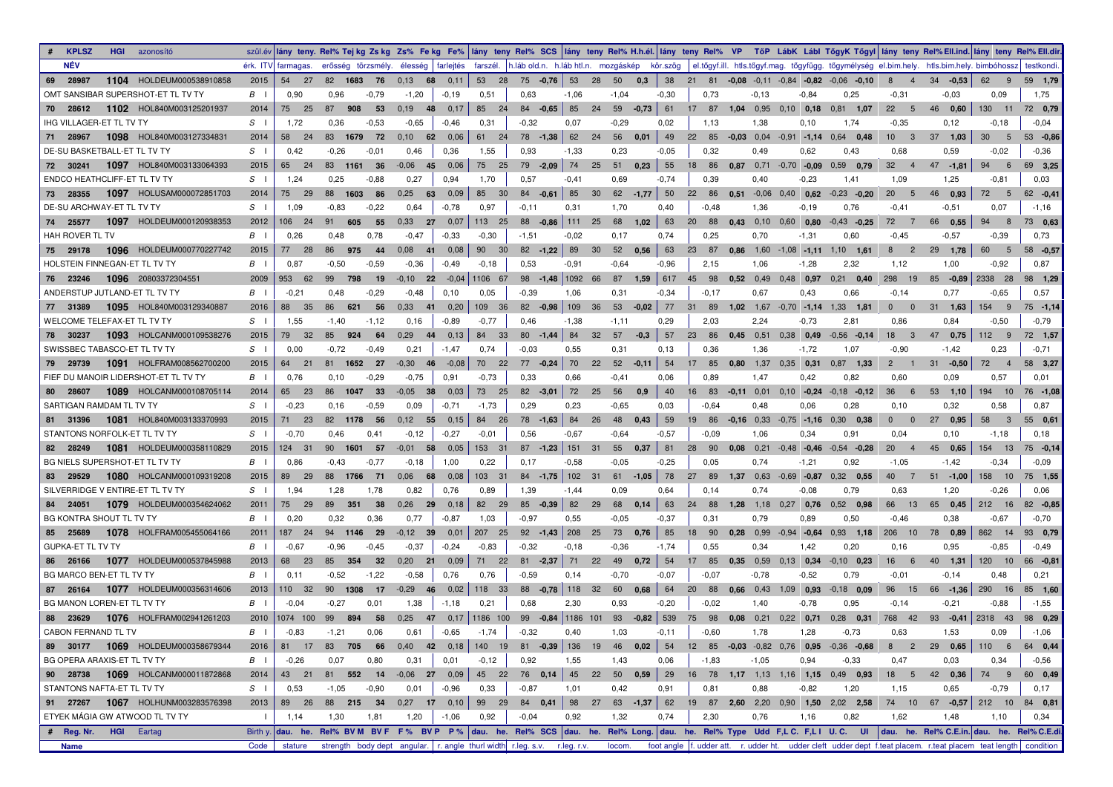| <b>KPLSZ</b><br><b>HGI</b> azonosító    |                 |                    |            |                 |                                      |         |                 |                                                                            |         |    |                |         |             |                      |                             |                                                                                            |                                          | szülév lány teny. Rel% Tejkg Zskg Zs% Fekg Fe%  lány teny Rel% SCS  lány teny Rel% H.h.él. lány teny Rel% VP TőP LábK Lábi TőgyK Tőgyi  lány teny Rel%Ell.ind. lány teny Rel%Ell.ind. lány teny Rel%Ell.ind. lány teny Rel%Ell |                               |                |
|-----------------------------------------|-----------------|--------------------|------------|-----------------|--------------------------------------|---------|-----------------|----------------------------------------------------------------------------|---------|----|----------------|---------|-------------|----------------------|-----------------------------|--------------------------------------------------------------------------------------------|------------------------------------------|--------------------------------------------------------------------------------------------------------------------------------------------------------------------------------------------------------------------------------|-------------------------------|----------------|
| <b>NÉV</b>                              |                 | érk. ITV farmagas. |            |                 | erősség törzsmély. élesség farlejtés |         | farszél.        | h.láb old.n. h.láb htl.n. mozgáskép kör.szög                               |         |    |                |         |             |                      |                             |                                                                                            |                                          | el.tőgyf.ill. htls.tőgyf.mag. tőgyfügg. tőgymélység el.bim.hely. htls.bim.hely. bimbóhossz                                                                                                                                     |                               | testkondi.     |
| HOLDEUM000538910858<br>1104<br>69 28987 | 2015            | 54<br>-27          | 82 1683 76 |                 | 0,13<br>68                           | 0,11    | 53 28           | 75 - 0,76 53                                                               |         |    | 28 50 0,3      | 38      |             |                      |                             | 21 81 -0.08 -0.11 -0.84 -0.82 -0.06 -0.10                                                  | 8<br>$\overline{4}$                      | $34 - 0.53$                                                                                                                                                                                                                    | 62<br>- 9                     | 59 1,79        |
| OMT SANSIBAR SUPERSHOT-ET TL TV TY      | $B \cup$        | 0,90               | 0,96       | $-0,79$         | $-1,20$                              | $-0,19$ | 0,51            | 0.63                                                                       | $-1,06$ |    | $-1,04$        | $-0,30$ | 0,73        | $-0,13$              | $-0.84$                     | 0,25                                                                                       | -0.31                                    | $-0.03$                                                                                                                                                                                                                        | 0,09                          | 1,75           |
| 1102 HOL840M003125201937<br>70 28612    | 2014            | 75<br>25           | 87<br>908  | 53              | 0,19<br>48                           | 0,17    | 85<br>24        | $84 - 0.65$                                                                | 85      | 24 | 59<br>$-0.73$  | 61      |             |                      | 17 87 1.04 0.95 0.10 0.18   | $0.81$ 1.07                                                                                | 22<br>- 5                                | 46 0.60                                                                                                                                                                                                                        | 130 11                        | 72 0,79        |
| <b>IHG VILLAGER-ET TL TV TY</b>         | $S \cup$        | 1,72               | 0,36       | $-0.53$         | $-0,65$                              | $-0,46$ | 0,31            | $-0,32$                                                                    | 0,07    |    | $-0,29$        | 0,02    | 1,13        | 1,38                 | 0,10                        | 1,74                                                                                       | $-0,35$                                  | 0,12                                                                                                                                                                                                                           | $-0,18$                       | $-0,04$        |
| 1098 HOL840M003127334831<br>28967<br>71 | 2014            | 58<br>24           | 83<br>1679 | 72              | 0,10<br>62                           | 0,06    | 61 24           | $78 - 1,38$                                                                | 62 24   |    | 56 0,01        | 49      |             |                      |                             | 22 85 -0.03 0.04 -0.91 -1.14 0.64 0.48                                                     | $10 \quad 3$                             | $37 - 1,03$                                                                                                                                                                                                                    | $30\qquad 5$                  | $53 -0.86$     |
| DE-SU BASKETBALL-ET TL TV TY            | S <sub>1</sub>  | 0,42               | $-0,26$    | $-0,01$         | 0,46                                 | 0,36    | 1,55            | 0.93                                                                       | $-1,33$ |    | 0,23           | $-0,05$ | 0,32        | 0.49                 | 0,62                        | 0,43                                                                                       | 0.68                                     | 0,59                                                                                                                                                                                                                           | $-0.02$                       | $-0,36$        |
| 1097 HOL840M003133064393<br>72 30241    | 2015            | 65 24              | 83 1161 36 |                 | $-0.06$ 45                           | 0,06    | 75 25           | $79 - 2,09$                                                                | 74 25   |    | $51$ 0,23      | 55      | 18 86       |                      |                             | $0.87$ 0.71 -0.70 -0.09 0.59 0.79                                                          | 32<br>$\overline{4}$                     | 47 -1,81                                                                                                                                                                                                                       | 94<br>6                       | 69 3,25        |
| <b>ENDCO HEATHCLIFF-ET TL TV TY</b>     | S <sub>1</sub>  | 1,24               | 0,25       | $-0.88$         | 0,27                                 | 0.94    | 1,70            | 0,57                                                                       | $-0,41$ |    | 0.69           | $-0,74$ | 0.39        | 0,40                 | $-0,23$                     | 1,41                                                                                       | 1,09                                     | 1,25                                                                                                                                                                                                                           | $-0.81$                       | 0,03           |
| 1097 HOLUSAM000072851703<br>73 28355    | 2014            | 75<br>29           | 88<br>1603 | 86              | 0,25<br>63                           | 0,09    | 85<br>30        | $84 - 0.61$                                                                | 85      | 30 | $62 - 1,77$    | 50      |             |                      |                             | 22 86 0.51 0.06 0.40 0.62 0.23 0.20                                                        | 20<br>$-5$                               | 46 0,93                                                                                                                                                                                                                        | 72<br>$5^{\circ}$             | $62 -0.41$     |
| DE-SU ARCHWAY-ET TL TV TY               | S <sub>1</sub>  | 1,09               | $-0.83$    | $-0,22$         | 0.64                                 | $-0,78$ | 0,97            | $-0,11$                                                                    | 0,31    |    | 1,70           | 0,40    | $-0,48$     | 1,36                 | $-0,19$                     | 0,76                                                                                       | $-0,41$                                  | $-0,51$                                                                                                                                                                                                                        | 0.07                          | $-1,16$        |
| 1097 HOLDEUM000120938353<br>74 25577    | 2012            | 106 24             | 91<br>605  | 55              | 0,33<br>27                           | 0,07    | 113 25          | 88 - 0.86 111 25                                                           |         |    | 68<br>1,02     | 63      | 20 88       |                      | $0,43$ $0,10$ $0,60$ $0,80$ | $-0.43$ $-0.25$                                                                            | 72<br>$\overline{7}$                     | 66<br>0,55                                                                                                                                                                                                                     | 94<br>8                       | 73 0,63        |
| <b>HAH ROVER TL TV</b>                  | $B \cup$        | 0,26               | 0,48       | 0.78            | $-0,47$                              | $-0,33$ | $-0,30$         | $-1,51$                                                                    | $-0,02$ |    | 0,17           | 0.74    | 0,25        | 0,70                 | $-1,31$                     | 0,60                                                                                       | $-0,45$                                  | $-0,57$                                                                                                                                                                                                                        | $-0.39$                       | 0,73           |
| 1096 HOLDEUM000770227742<br>75 29178    | 2015            | 77<br>28           | 86<br>975  | 44              | 0,08<br>$-41$                        | 0,08    | 90<br>30        | $82 - 1,22$                                                                | 89      | 30 | 52<br>0,56     | 63      | 23 87       |                      |                             | $0.86$ 1.60 -1.08 -1.11 1.10 1.61                                                          | 8<br>$\overline{\phantom{0}}^2$          | 29<br>1,78                                                                                                                                                                                                                     | 60<br>$-5$                    | $58 - 0,57$    |
| HOLSTEIN FINNEGAN-ET TL TV TY           | $\vert B \vert$ | 0,87               | $-0,50$    | $-0.59$         | $-0,36$                              | $-0,49$ | $-0,18$         | 0,53                                                                       | $-0,91$ |    | $-0.64$        | $-0.96$ | 2,15        | 1,06                 | $-1,28$                     | 2,32                                                                                       | 1,12                                     | 1,00                                                                                                                                                                                                                           | $-0.92$                       | 0.87           |
| 1096 20803372304551<br>76 23246         | 2009            | 953 62             | 99<br>798  | 19              | $-0,10$ 22                           |         | $-0.04$ 1106 67 | $98 - 1,48$ 1092 66                                                        |         |    | 87<br>1,59     |         | $617$ 45 98 |                      | $0,52$ 0,49 0,48 0,97       | $0.21$ 0.40                                                                                | 298<br>- 19                              | 85 - 0,89                                                                                                                                                                                                                      | 2338 28                       | 98 1,29        |
| ANDERSTUP JUTLAND-ET TL TV TY           | $B \cup$        | $-0.21$            | 0.48       | $-0,29$         | $-0,48$                              | 0,10    | 0,05            | $-0,39$                                                                    | 1,06    |    | 0,31           | $-0,34$ | $-0,17$     | 0.67                 | 0,43                        | 0.66                                                                                       | $-0,14$                                  | 0,77                                                                                                                                                                                                                           | $-0.65$                       | 0.57           |
| 1095 HOL840M003129340887<br>77 31389    | 2016            | 88<br>35           | 86<br>621  | 56              | 0,33<br>41                           | 0,20    | 109 36          | $82 -0.98$                                                                 | 109 36  |    | 53<br>$-0,02$  | 77      |             |                      |                             | 31 89 1,02 1,67 -0,70 -1,14 1,33 1,81                                                      | $\overline{\phantom{0}}$<br>$\mathbf{0}$ | $31 \quad 1,63$                                                                                                                                                                                                                | 154 9                         | $75 - 1,14$    |
| WELCOME TELEFAX-ET TL TV TY             | S <sub>1</sub>  | 1,55               | $-1,40$    | $-1.12$         | 0,16                                 | $-0.89$ | $-0,77$         | 0,46                                                                       | $-1,38$ |    | $-1,11$        | 0.29    | 2,03        | 2,24                 | $-0,73$                     | 2.81                                                                                       | 0,86                                     | 0,84                                                                                                                                                                                                                           | $-0,50$                       | $-0,79$        |
| 1093 HOLCANM000109538276<br>78 30237    | 2015            | 79<br>32           | 85<br>924  | 64              | 0,29                                 | 44 0,13 | 84<br>33        | $80 - 1,44$ 84                                                             |         | 32 | 57<br>$-0,3$   | 57      |             |                      | 23 86 0.45 0.51 0.38 0.49   | $-0.56$ $-0.14$                                                                            | 18<br>$_{3}$                             | 47 0,75                                                                                                                                                                                                                        | $112 \t 9$                    | 72 1,57        |
| SWISSBEC TABASCO-ET TL TV TY            | $S \cup$        | 0.00               | $-0,72$    | $-0,49$         | 0,21                                 | $-1,47$ | 0,74            | $-0,03$                                                                    | 0,55    |    | 0,31           | 0,13    | 0,36        | 1,36                 | $-1,72$                     | 1,07                                                                                       | $-0,90$                                  | $-1,42$                                                                                                                                                                                                                        | 0,23                          | $-0,71$        |
| 1091 HOLFRAM008562700200<br>79 29739    | 2015            | 64 21              | 81 1652 27 |                 | $-0.30$ 46                           | $-0,08$ | 70 22           | $77 - 0.24$                                                                | 70      | 22 | 52<br>$-0.11$  | 54      | 17 85       |                      | $0.80$ 1,37 0,35 0,31       | $0.87$ 1.33                                                                                | $\mathbf{2}^{\circ}$                     | $31 - 0,50$                                                                                                                                                                                                                    | 72<br>$\overline{4}$          | 58 3,27        |
| FIEF DU MANOIR LIDERSHOT-ET TL TV TY    | $B \cup$        | 0,76               | 0,10       | $-0.29$         | $-0,75$                              | 0.91    | $-0,73$         | 0.33                                                                       | 0,66    |    | $-0,41$        | 0,06    | 0.89        | 1,47                 | 0,42                        | 0,82                                                                                       | 0,60                                     | 0,09                                                                                                                                                                                                                           | 0,57                          | 0,01           |
| 28607<br>1089 HOLCANM000108705114<br>80 | 2014            | 65<br>- 23         | 86<br>1047 | 33              | $-0.05$ 38                           | 0,03    | 73 25           | $82 - 3,01$                                                                | 72 25   |    | 56<br>0,9      | 40      |             |                      |                             | 16 83 -0,11 0,01 0,10 -0,24 -0,18 -0,12                                                    | 36<br>$6^{\circ}$                        | 53, 1,10                                                                                                                                                                                                                       | 194 10                        | 76 -1,08       |
| SARTIGAN RAMDAM TL TV TY                | S <sub>1</sub>  | $-0.23$            | 0,16       | $-0.59$         | 0.09                                 | $-0,71$ | $-1,73$         | 0,29                                                                       | 0,23    |    | $-0.65$        | 0,03    | $-0.64$     | 0.48                 | 0,06                        | 0,28                                                                                       | 0,10                                     | 0,32                                                                                                                                                                                                                           | 0.58                          | 0.87           |
| 1081 HOL840M003133370993<br>81 31396    | 2015            | 71 23              | 82 1178    | 56              | $0.12$ 55                            | 0,15    | 84 26           | 78 - 1.63                                                                  | 84      | 26 | 48<br>0,43     | 59      |             |                      |                             | 19 86 -0.16 0.33 -0.75 -1.16 0.30 0.38                                                     | $\overline{\phantom{0}}$<br>$\mathbf{0}$ | 27 0,95                                                                                                                                                                                                                        | 58<br>$\overline{\mathbf{3}}$ | 55 0,61        |
| STANTONS NORFOLK-ET TL TV TY            | $S \cup$        | $-0.70$            | 0,46       | 0.41            | $-0,12$                              | $-0,27$ | $-0,01$         | 0.56                                                                       | $-0.67$ |    | $-0.64$        | $-0,57$ | $-0.09$     | 1,06                 | 0,34                        | 0.91                                                                                       | 0,04                                     | 0.10                                                                                                                                                                                                                           | $-1,18$                       | 0,18           |
| 1081 HOLDEUM000358110829<br>82 28249    | 2015            | 124 31             | 90<br>1601 | 57              | $-0.01$<br>58                        | 0,05    | 153 31          | $87$ -1,23 151 31                                                          |         |    | 55 0.37        | 81      | 28 90       |                      |                             | $0.08$ 0.21 -0.48 -0.46 -0.54 -0.28                                                        | <b>20</b><br>$\overline{4}$              | 45 0,65                                                                                                                                                                                                                        | 154 13                        | 75 - 0,14      |
| BG NIELS SUPERSHOT ET TL TV TY          | $\vert B \vert$ | 0.86               | $-0.43$    | $-0,77$         | $-0,18$                              | 1,00    | 0,22            | 0,17                                                                       | $-0,58$ |    | $-0.05$        | $-0,25$ | 0,05        | 0,74                 | $-1,21$                     | 0.92                                                                                       | $-1,05$                                  | $-1,42$                                                                                                                                                                                                                        | $-0.34$                       | $-0.09$        |
| 1080 HOLCANM000109319208<br>83 29529    | 2015            | 89<br>29           | 88 1766    | 71              | 0,06<br>68                           | 0,08    | 103 31          | 84 - 1,75 102 31                                                           |         |    | $61 - 1,05$    | 78      |             |                      |                             | 27 89 1,37 0,63 -0,69 -0,87 0.32 0.55                                                      | 40<br>$\overline{7}$                     | $51 - 1,00$                                                                                                                                                                                                                    | 158 10                        | 75 1,55        |
| SILVERRIDGE V ENTIRE-ET TL TV TY        | $S \cup$        | 1.94               | 1,28       | 1.78            | 0,82                                 | 0,76    | 0,89            | 1,39                                                                       | $-1,44$ |    | 0,09           | 0.64    | 0.14        | 0,74                 | $-0.08$                     | 0.79                                                                                       | 0.63                                     | 1,20                                                                                                                                                                                                                           | $-0.26$                       | 0.06           |
| 1079 HOLDEUM000354624062<br>84 24051    | 2011            | 75<br>- 29         | 89<br>351  | 38              | 0,26<br>29                           | 0,18    | 82 29           | $85 - 0.39$                                                                | 82      | 29 | 68<br>0,14     | 63      | 24<br>88    | $1,28$ $1,18$ $0,27$ | 0,76                        | $0,52$ 0.98                                                                                | 66<br>13                                 | 65<br>0,45                                                                                                                                                                                                                     | 212 16                        | 82 - 0,85      |
| BG KONTRA SHOUT TL TV TY                | $B \cup$        | 0,20               | 0,32       | 0,36            | 0,77                                 | $-0,87$ | 1,03            | $-0.97$                                                                    | 0,55    |    | $-0.05$        | $-0.37$ | 0,31        | 0,79                 | 0,89                        | 0,50                                                                                       | $-0,46$                                  | 0.38                                                                                                                                                                                                                           | $-0.67$                       | $-0,70$        |
| 85 25689<br>1078<br>HOLFRAM005455064166 | 2011            | 187<br>-24         | 1146<br>94 | 29              | $-0,12$ 39                           | 0,01    | 207 25          | $92 -1,43$ 208 25                                                          |         |    | 73<br>0,76     | 85      | 18<br>90    | $0,28$ 0.99          | $-0.94$ $-0.64$             | $0.93$ 1.18                                                                                | 206<br>10                                | 78<br>0,89                                                                                                                                                                                                                     | 862 14                        | 93 0,79        |
| <b>GUPKA-ET TL TV TY</b>                | $\mathbf{B}$    | $-0.67$            | $-0.96$    | $-0,45$         | $-0.37$                              | $-0,24$ | $-0.83$         | $-0.32$                                                                    | $-0.18$ |    | $-0,36$        | $-1,74$ | 0.55        | 0,34                 | 1,42                        | 0.20                                                                                       | 0.16                                     | 0,95                                                                                                                                                                                                                           | $-0.85$                       | $-0,49$        |
| 1077 HOLDEUM000537845988<br>86 26166    | 2013            | 68 23              | 85<br>354  | 32 <sup>°</sup> | 0,20<br>21                           | 0,09    | 71 22           | $81 - 2,37$ 71 22                                                          |         |    | - 49<br>0,72   | 54      |             |                      | 17 85 0.35 0.59 0.13 0.34   | $-0.10$ 0.23                                                                               | 16 6                                     | 40 1,31                                                                                                                                                                                                                        | 120 10                        | 66 - 0,81      |
| <b>BG MARCO BEN-ET TL TV TY</b>         | $\vert B \vert$ | 0.11               | $-0,52$    | $-1.22$         | $-0.58$                              | 0,76    | 0,76            | $-0,59$                                                                    | 0,14    |    | $-0,70$        | $-0.07$ | $-0.07$     | $-0,78$              | $-0,52$                     | 0.79                                                                                       | $-0,01$                                  | $-0,14$                                                                                                                                                                                                                        | 0,48                          | 0,21           |
| 1077 HOLDEUM000356314606<br>87 26164    | 2013            | 110 32             | 90 1308    | 17              | $-0.29$ 46                           | 0,02    | 118 33          | 88 - 0,78 118 32                                                           |         |    | 60 0.68        | 64      |             |                      |                             | 20 88 0.66 0.43 1.09 0.93 -0.18 0.09                                                       | 96 15                                    | $66 - 1,36$                                                                                                                                                                                                                    |                               | 290 16 85 1,60 |
| BG MANON LOREN-ET TL TV TY              | $\vert B \vert$ | $-0.04$            | $-0,27$    | 0,01            | 1,38                                 | $-1,18$ | 0,21            | 0.68                                                                       | 2,30    |    | 0,93           | $-0,20$ | $-0,02$     | 1,40                 | $-0,78$                     | 0,95                                                                                       | $-0,14$                                  | $-0,21$                                                                                                                                                                                                                        | $-0.88$                       | $-1,55$        |
| 88 23629<br>1076 HOLFRAM002941261203    | 2010            | 1074 100           | 99<br>894  | 58              | 0,25<br>47                           |         |                 | $0,17$ 1186 100 99 -0,84 1186 101                                          |         |    | $93 -0,82$ 539 |         | 75 98       |                      |                             | $0.08$ 0.21 0.22 0.71 0.28 0.31                                                            | 768 42                                   | $93 - 0.41$                                                                                                                                                                                                                    | 2318 43                       | 98 0,29        |
| <b>CABON FERNAND TL TV</b>              | $B \mid$        | $-0.83$            | $-1,21$    | 0.06            | 0.61                                 | $-0,65$ | $-1,74$         | $-0.32$                                                                    | 0.40    |    | 1,03           | $-0,11$ | $-0.60$     | 1,78                 | 1,28                        | $-0.73$                                                                                    | 0.63                                     | 1,53                                                                                                                                                                                                                           | 0,09                          | $-1,06$        |
| 89 30177 1069 HOLDEUM000358679344       | 2016            | 81 17              | 83 705 66  |                 |                                      |         |                 |                                                                            |         |    |                |         |             |                      |                             | 0,40 42 0,18 140 19 81 -0,39 136 19 46 0,02 54 12 85 -0,03 -0,82 0,76 0,95 -0,68           |                                          | 8 2 29 0,65                                                                                                                                                                                                                    |                               | 110 6 64 0,44  |
| BG OPERA ARAXIS-ET TL TV TY             | $B \cup$        | $-0,26$            | 0,07       | 0,80            | 0,31                                 | 0,01    | $-0,12$         | 0,92                                                                       | 1,55    |    | 1,43           | 0,06    | $-1,83$     | $-1,05$              | 0,94                        | $-0,33$                                                                                    | 0,47                                     | 0,03                                                                                                                                                                                                                           | 0,34                          | $-0,56$        |
| 90 28738 1069 HOLCANM000011872868       | 2014            | 43 21              |            |                 |                                      |         |                 |                                                                            |         |    |                |         |             |                      |                             | 81 552 14 -0,06 27 0,09 45 22 76 0,14 45 22 50 0,59 29 16 78 1,17 1,13 1,16 1,15 0,49 0,93 |                                          | $18 \quad 5 \quad 42 \quad 0,36$                                                                                                                                                                                               |                               | 74 9 60 0,49   |
| STANTONS NAFTA-ET TL TV TY              | $S \mid$        | 0,53               | $-1,05$    | $-0,90$         | 0,01                                 | $-0,96$ | 0,33            | $-0,87$                                                                    | 1,01    |    | 0,42           | 0,91    | 0,81        | 0,88                 | $-0,82$                     | 1,20                                                                                       | 1,15                                     | 0,65                                                                                                                                                                                                                           | $-0,79$                       | 0,17           |
| 91 27267 1067 HOLHUNM003283576398       | 2013            | 89 26              |            |                 |                                      |         |                 |                                                                            |         |    |                |         |             |                      |                             | 88 215 34 0,27 17 0,10 99 29 84 0,41 98 27 63 -1,37 62 19 87 2,60 2,20 0,90 1,50 2,02 2,58 |                                          | 74 10 67 -0,57 212 10 84 0,81                                                                                                                                                                                                  |                               |                |
| ETYEK MÁGIA GW ATWOOD TL TV TY          | $\Box$          | 1,14               | 1,30       | 1,81            | 1,20                                 | -1,06   | 0,92            | $-0,04$                                                                    | 0,92    |    | 1,32           | 0,74    | 2,30        | 0,76                 | 1,16                        | 0,82                                                                                       | 1,62                                     | 1,48                                                                                                                                                                                                                           | 1,10                          | 0,34           |
| # Reg. Nr. HGI Eartag                   |                 |                    |            |                 |                                      |         |                 |                                                                            |         |    |                |         |             |                      |                             |                                                                                            |                                          | Birthy. dau. he. Rel% BVM BVF F% BVP P% dau. he. Rel% SCS dau. he. Rel% Long. dau. he. Rel% Type Udd F,LC. F,LI U.C. UI dau. he. Rel% C.E.in. dau. he. Rel% C.E.di.                                                            |                               |                |
| Name                                    | Code            | stature            |            |                 |                                      |         |                 | strength body dept angular.   r. angle thurl width r.leg. s.v. r.leg. r.v. |         |    | locom.         |         |             |                      |                             |                                                                                            |                                          | foot angle f. udder att. r. udder ht. udder cleft udder dept f.teat placem. r.teat placem teat length condition                                                                                                                |                               |                |
|                                         |                 |                    |            |                 |                                      |         |                 |                                                                            |         |    |                |         |             |                      |                             |                                                                                            |                                          |                                                                                                                                                                                                                                |                               |                |